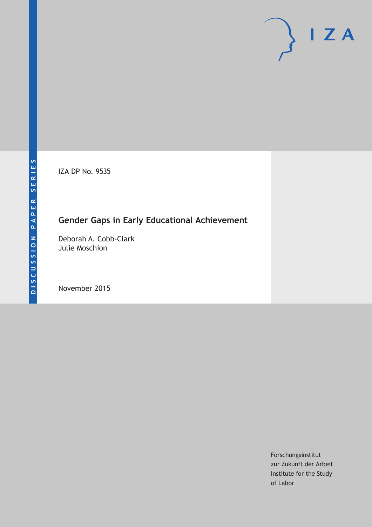IZA DP No. 9535

# **Gender Gaps in Early Educational Achievement**

Deborah A. Cobb-Clark Julie Moschion

November 2015

Forschungsinstitut zur Zukunft der Arbeit Institute for the Study of Labor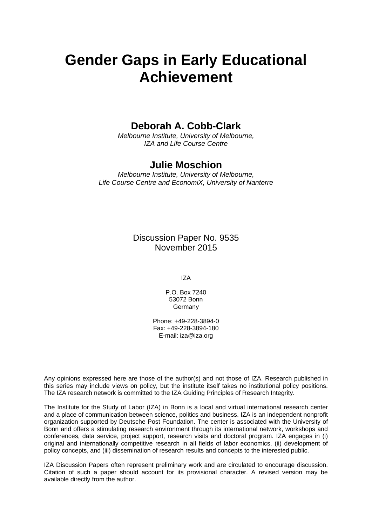# **Gender Gaps in Early Educational Achievement**

## **Deborah A. Cobb-Clark**

*Melbourne Institute, University of Melbourne, IZA and Life Course Centre* 

### **Julie Moschion**

*Melbourne Institute, University of Melbourne, Life Course Centre and EconomiX, University of Nanterre* 

> Discussion Paper No. 9535 November 2015

> > IZA

P.O. Box 7240 53072 Bonn **Germany** 

Phone: +49-228-3894-0 Fax: +49-228-3894-180 E-mail: iza@iza.org

Any opinions expressed here are those of the author(s) and not those of IZA. Research published in this series may include views on policy, but the institute itself takes no institutional policy positions. The IZA research network is committed to the IZA Guiding Principles of Research Integrity.

The Institute for the Study of Labor (IZA) in Bonn is a local and virtual international research center and a place of communication between science, politics and business. IZA is an independent nonprofit organization supported by Deutsche Post Foundation. The center is associated with the University of Bonn and offers a stimulating research environment through its international network, workshops and conferences, data service, project support, research visits and doctoral program. IZA engages in (i) original and internationally competitive research in all fields of labor economics, (ii) development of policy concepts, and (iii) dissemination of research results and concepts to the interested public.

IZA Discussion Papers often represent preliminary work and are circulated to encourage discussion. Citation of such a paper should account for its provisional character. A revised version may be available directly from the author.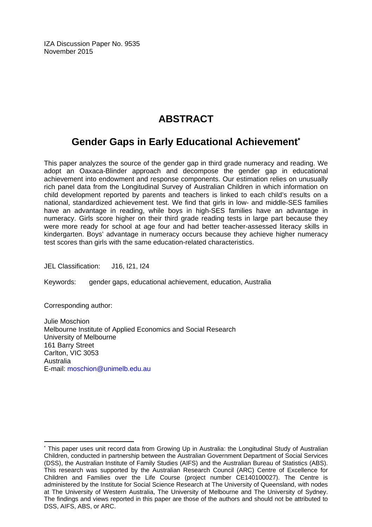IZA Discussion Paper No. 9535 November 2015

# **ABSTRACT**

# **Gender Gaps in Early Educational Achievement\***

This paper analyzes the source of the gender gap in third grade numeracy and reading. We adopt an Oaxaca-Blinder approach and decompose the gender gap in educational achievement into endowment and response components. Our estimation relies on unusually rich panel data from the Longitudinal Survey of Australian Children in which information on child development reported by parents and teachers is linked to each child's results on a national, standardized achievement test. We find that girls in low- and middle-SES families have an advantage in reading, while boys in high-SES families have an advantage in numeracy. Girls score higher on their third grade reading tests in large part because they were more ready for school at age four and had better teacher-assessed literacy skills in kindergarten. Boys' advantage in numeracy occurs because they achieve higher numeracy test scores than girls with the same education-related characteristics.

JEL Classification: J16, I21, I24

Keywords: gender gaps, educational achievement, education, Australia

Corresponding author:

Julie Moschion Melbourne Institute of Applied Economics and Social Research University of Melbourne 161 Barry Street Carlton, VIC 3053 Australia E-mail: moschion@unimelb.edu.au

 $\overline{\phantom{a}}$ \* This paper uses unit record data from Growing Up in Australia: the Longitudinal Study of Australian Children, conducted in partnership between the Australian Government Department of Social Services (DSS), the Australian Institute of Family Studies (AIFS) and the Australian Bureau of Statistics (ABS). This research was supported by the Australian Research Council (ARC) Centre of Excellence for Children and Families over the Life Course (project number CE140100027). The Centre is administered by the Institute for Social Science Research at The University of Queensland, with nodes at The University of Western Australia, The University of Melbourne and The University of Sydney. The findings and views reported in this paper are those of the authors and should not be attributed to DSS, AIFS, ABS, or ARC.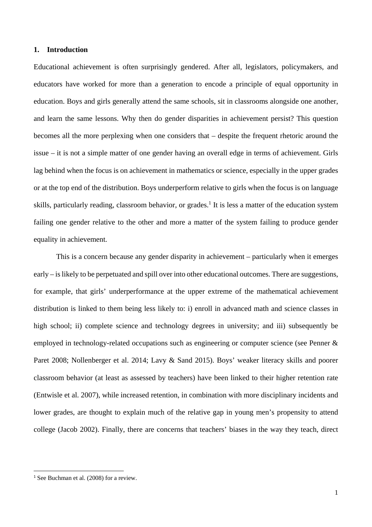#### **1. Introduction**

Educational achievement is often surprisingly gendered. After all, legislators, policymakers, and educators have worked for more than a generation to encode a principle of equal opportunity in education. Boys and girls generally attend the same schools, sit in classrooms alongside one another, and learn the same lessons. Why then do gender disparities in achievement persist? This question becomes all the more perplexing when one considers that – despite the frequent rhetoric around the issue – it is not a simple matter of one gender having an overall edge in terms of achievement. Girls lag behind when the focus is on achievement in mathematics or science, especially in the upper grades or at the top end of the distribution. Boys underperform relative to girls when the focus is on language skills, particularly reading, classroom behavior, or grades.<sup>1</sup> It is less a matter of the education system failing one gender relative to the other and more a matter of the system failing to produce gender equality in achievement.

 This is a concern because any gender disparity in achievement – particularly when it emerges early – is likely to be perpetuated and spill over into other educational outcomes. There are suggestions, for example, that girls' underperformance at the upper extreme of the mathematical achievement distribution is linked to them being less likely to: i) enroll in advanced math and science classes in high school; ii) complete science and technology degrees in university; and iii) subsequently be employed in technology-related occupations such as engineering or computer science (see Penner & Paret 2008; Nollenberger et al. 2014; Lavy & Sand 2015). Boys' weaker literacy skills and poorer classroom behavior (at least as assessed by teachers) have been linked to their higher retention rate (Entwisle et al. 2007), while increased retention, in combination with more disciplinary incidents and lower grades, are thought to explain much of the relative gap in young men's propensity to attend college (Jacob 2002). Finally, there are concerns that teachers' biases in the way they teach, direct

<sup>1</sup> See Buchman et al. (2008) for a review.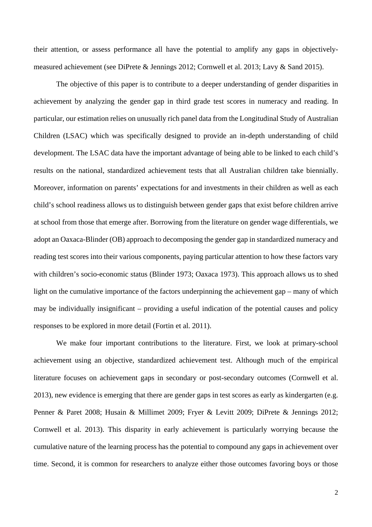their attention, or assess performance all have the potential to amplify any gaps in objectivelymeasured achievement (see DiPrete & Jennings 2012; Cornwell et al. 2013; Lavy & Sand 2015).

 The objective of this paper is to contribute to a deeper understanding of gender disparities in achievement by analyzing the gender gap in third grade test scores in numeracy and reading. In particular, our estimation relies on unusually rich panel data from the Longitudinal Study of Australian Children (LSAC) which was specifically designed to provide an in-depth understanding of child development. The LSAC data have the important advantage of being able to be linked to each child's results on the national, standardized achievement tests that all Australian children take biennially. Moreover, information on parents' expectations for and investments in their children as well as each child's school readiness allows us to distinguish between gender gaps that exist before children arrive at school from those that emerge after. Borrowing from the literature on gender wage differentials, we adopt an Oaxaca-Blinder (OB) approach to decomposing the gender gap in standardized numeracy and reading test scores into their various components, paying particular attention to how these factors vary with children's socio-economic status (Blinder 1973; Oaxaca 1973). This approach allows us to shed light on the cumulative importance of the factors underpinning the achievement gap – many of which may be individually insignificant – providing a useful indication of the potential causes and policy responses to be explored in more detail (Fortin et al. 2011).

We make four important contributions to the literature. First, we look at primary-school achievement using an objective, standardized achievement test. Although much of the empirical literature focuses on achievement gaps in secondary or post-secondary outcomes (Cornwell et al. 2013), new evidence is emerging that there are gender gaps in test scores as early as kindergarten (e.g. Penner & Paret 2008; Husain & Millimet 2009; Fryer & Levitt 2009; DiPrete & Jennings 2012; Cornwell et al. 2013). This disparity in early achievement is particularly worrying because the cumulative nature of the learning process has the potential to compound any gaps in achievement over time. Second, it is common for researchers to analyze either those outcomes favoring boys or those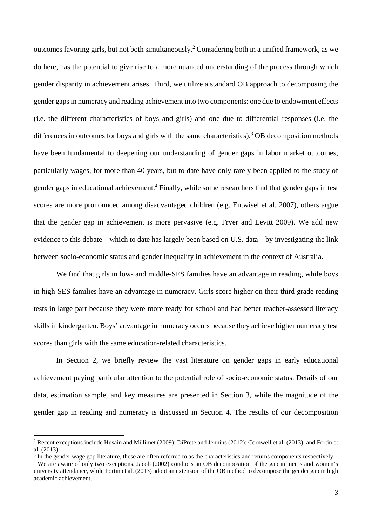outcomes favoring girls, but not both simultaneously.2 Considering both in a unified framework, as we do here, has the potential to give rise to a more nuanced understanding of the process through which gender disparity in achievement arises. Third, we utilize a standard OB approach to decomposing the gender gaps in numeracy and reading achievement into two components: one due to endowment effects (i.e. the different characteristics of boys and girls) and one due to differential responses (i.e. the differences in outcomes for boys and girls with the same characteristics).<sup>3</sup> OB decomposition methods have been fundamental to deepening our understanding of gender gaps in labor market outcomes, particularly wages, for more than 40 years, but to date have only rarely been applied to the study of gender gaps in educational achievement.<sup>4</sup> Finally, while some researchers find that gender gaps in test scores are more pronounced among disadvantaged children (e.g. Entwisel et al. 2007), others argue that the gender gap in achievement is more pervasive (e.g. Fryer and Levitt 2009). We add new evidence to this debate – which to date has largely been based on U.S. data – by investigating the link between socio-economic status and gender inequality in achievement in the context of Australia.

We find that girls in low- and middle-SES families have an advantage in reading, while boys in high-SES families have an advantage in numeracy. Girls score higher on their third grade reading tests in large part because they were more ready for school and had better teacher-assessed literacy skills in kindergarten. Boys' advantage in numeracy occurs because they achieve higher numeracy test scores than girls with the same education-related characteristics.

In Section 2, we briefly review the vast literature on gender gaps in early educational achievement paying particular attention to the potential role of socio-economic status. Details of our data, estimation sample, and key measures are presented in Section 3, while the magnitude of the gender gap in reading and numeracy is discussed in Section 4. The results of our decomposition

 $2$  Recent exceptions include Husain and Millimet (2009); DiPrete and Jennins (2012); Cornwell et al. (2013); and Fortin et al. (2013).

<sup>&</sup>lt;sup>3</sup> In the gender wage gap literature, these are often referred to as the characteristics and returns components respectively.<br><sup>4</sup> We are aware of only two exceptions. Jacob (2002) conducts an OB decomposition of the gap

We are aware of only two exceptions. Jacob (2002) conducts an OB decomposition of the gap in men's and women's university attendance, while Fortin et al. (2013) adopt an extension of the OB method to decompose the gender gap in high academic achievement.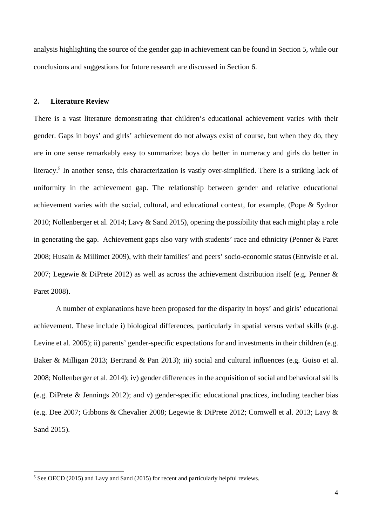analysis highlighting the source of the gender gap in achievement can be found in Section 5, while our conclusions and suggestions for future research are discussed in Section 6.

#### **2. Literature Review**

There is a vast literature demonstrating that children's educational achievement varies with their gender. Gaps in boys' and girls' achievement do not always exist of course, but when they do, they are in one sense remarkably easy to summarize: boys do better in numeracy and girls do better in literacy.<sup>5</sup> In another sense, this characterization is vastly over-simplified. There is a striking lack of uniformity in the achievement gap. The relationship between gender and relative educational achievement varies with the social, cultural, and educational context, for example, (Pope & Sydnor 2010; Nollenberger et al. 2014; Lavy & Sand 2015), opening the possibility that each might play a role in generating the gap. Achievement gaps also vary with students' race and ethnicity (Penner & Paret 2008; Husain & Millimet 2009), with their families' and peers' socio-economic status (Entwisle et al. 2007; Legewie & DiPrete 2012) as well as across the achievement distribution itself (e.g. Penner & Paret 2008).

A number of explanations have been proposed for the disparity in boys' and girls' educational achievement. These include i) biological differences, particularly in spatial versus verbal skills (e.g. Levine et al. 2005); ii) parents' gender-specific expectations for and investments in their children (e.g. Baker & Milligan 2013; Bertrand & Pan 2013); iii) social and cultural influences (e.g. Guiso et al. 2008; Nollenberger et al. 2014); iv) gender differences in the acquisition of social and behavioral skills (e.g. DiPrete & Jennings 2012); and v) gender-specific educational practices, including teacher bias (e.g. Dee 2007; Gibbons & Chevalier 2008; Legewie & DiPrete 2012; Cornwell et al. 2013; Lavy & Sand 2015).

<sup>&</sup>lt;sup>5</sup> See OECD (2015) and Lavy and Sand (2015) for recent and particularly helpful reviews.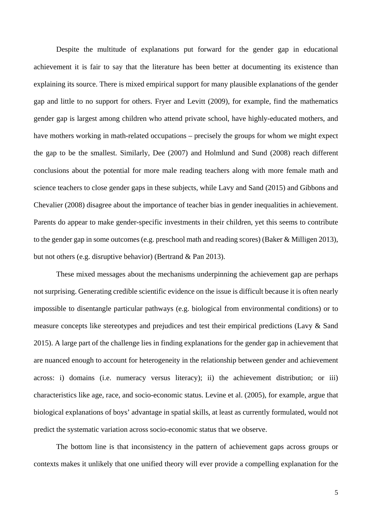Despite the multitude of explanations put forward for the gender gap in educational achievement it is fair to say that the literature has been better at documenting its existence than explaining its source. There is mixed empirical support for many plausible explanations of the gender gap and little to no support for others. Fryer and Levitt (2009), for example, find the mathematics gender gap is largest among children who attend private school, have highly-educated mothers, and have mothers working in math-related occupations – precisely the groups for whom we might expect the gap to be the smallest. Similarly, Dee (2007) and Holmlund and Sund (2008) reach different conclusions about the potential for more male reading teachers along with more female math and science teachers to close gender gaps in these subjects, while Lavy and Sand (2015) and Gibbons and Chevalier (2008) disagree about the importance of teacher bias in gender inequalities in achievement. Parents do appear to make gender-specific investments in their children, yet this seems to contribute to the gender gap in some outcomes (e.g. preschool math and reading scores) (Baker & Milligen 2013), but not others (e.g. disruptive behavior) (Bertrand & Pan 2013).

These mixed messages about the mechanisms underpinning the achievement gap are perhaps not surprising. Generating credible scientific evidence on the issue is difficult because it is often nearly impossible to disentangle particular pathways (e.g. biological from environmental conditions) or to measure concepts like stereotypes and prejudices and test their empirical predictions (Lavy & Sand 2015). A large part of the challenge lies in finding explanations for the gender gap in achievement that are nuanced enough to account for heterogeneity in the relationship between gender and achievement across: i) domains (i.e. numeracy versus literacy); ii) the achievement distribution; or iii) characteristics like age, race, and socio-economic status. Levine et al. (2005), for example, argue that biological explanations of boys' advantage in spatial skills, at least as currently formulated, would not predict the systematic variation across socio-economic status that we observe.

The bottom line is that inconsistency in the pattern of achievement gaps across groups or contexts makes it unlikely that one unified theory will ever provide a compelling explanation for the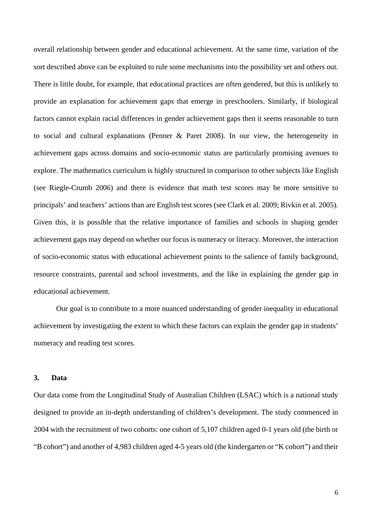overall relationship between gender and educational achievement. At the same time, variation of the sort described above can be exploited to rule some mechanisms into the possibility set and others out. There is little doubt, for example, that educational practices are often gendered, but this is unlikely to provide an explanation for achievement gaps that emerge in preschoolers. Similarly, if biological factors cannot explain racial differences in gender achievement gaps then it seems reasonable to turn to social and cultural explanations (Penner & Paret 2008). In our view, the heterogeneity in achievement gaps across domains and socio-economic status are particularly promising avenues to explore. The mathematics curriculum is highly structured in comparison to other subjects like English (see Riegle-Crumb 2006) and there is evidence that math test scores may be more sensitive to principals' and teachers' actions than are English test scores (see Clark et al. 2009; Rivkin et al. 2005). Given this, it is possible that the relative importance of families and schools in shaping gender achievement gaps may depend on whether our focus is numeracy or literacy. Moreover, the interaction of socio-economic status with educational achievement points to the salience of family background, resource constraints, parental and school investments, and the like in explaining the gender gap in educational achievement.

Our goal is to contribute to a more nuanced understanding of gender inequality in educational achievement by investigating the extent to which these factors can explain the gender gap in students' numeracy and reading test scores.

#### **3. Data**

Our data come from the Longitudinal Study of Australian Children (LSAC) which is a national study designed to provide an in-depth understanding of children's development. The study commenced in 2004 with the recruitment of two cohorts: one cohort of 5,107 children aged 0-1 years old (the birth or "B cohort") and another of 4,983 children aged 4-5 years old (the kindergarten or "K cohort") and their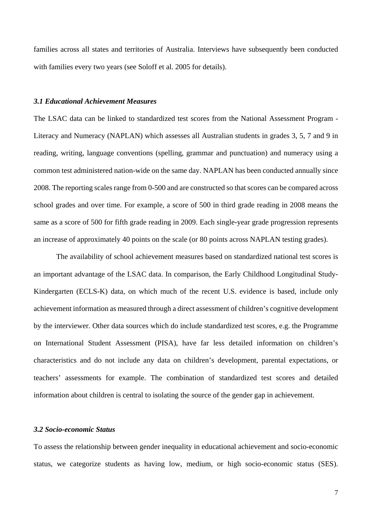families across all states and territories of Australia. Interviews have subsequently been conducted with families every two years (see Soloff et al. 2005 for details).

#### *3.1 Educational Achievement Measures*

The LSAC data can be linked to standardized test scores from the National Assessment Program - Literacy and Numeracy (NAPLAN) which assesses all Australian students in grades 3, 5, 7 and 9 in reading, writing, language conventions (spelling, grammar and punctuation) and numeracy using a common test administered nation-wide on the same day. NAPLAN has been conducted annually since 2008. The reporting scales range from 0-500 and are constructed so that scores can be compared across school grades and over time. For example, a score of 500 in third grade reading in 2008 means the same as a score of 500 for fifth grade reading in 2009. Each single-year grade progression represents an increase of approximately 40 points on the scale (or 80 points across NAPLAN testing grades).

The availability of school achievement measures based on standardized national test scores is an important advantage of the LSAC data. In comparison, the Early Childhood Longitudinal Study-Kindergarten (ECLS-K) data, on which much of the recent U.S. evidence is based, include only achievement information as measured through a direct assessment of children's cognitive development by the interviewer. Other data sources which do include standardized test scores, e.g. the Programme on International Student Assessment (PISA), have far less detailed information on children's characteristics and do not include any data on children's development, parental expectations, or teachers' assessments for example. The combination of standardized test scores and detailed information about children is central to isolating the source of the gender gap in achievement.

#### *3.2 Socio-economic Status*

To assess the relationship between gender inequality in educational achievement and socio-economic status, we categorize students as having low, medium, or high socio-economic status (SES).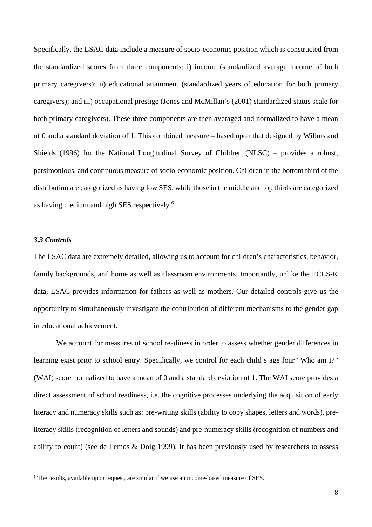Specifically, the LSAC data include a measure of socio-economic position which is constructed from the standardized scores from three components: i) income (standardized average income of both primary caregivers); ii) educational attainment (standardized years of education for both primary caregivers); and iii) occupational prestige (Jones and McMillan's (2001) standardized status scale for both primary caregivers). These three components are then averaged and normalized to have a mean of 0 and a standard deviation of 1. This combined measure – based upon that designed by Willms and Shields (1996) for the National Longitudinal Survey of Children (NLSC) – provides a robust, parsimonious, and continuous measure of socio-economic position. Children in the bottom third of the distribution are categorized as having low SES, while those in the middle and top thirds are categorized as having medium and high SES respectively.<sup>6</sup>

#### *3.3 Controls*

The LSAC data are extremely detailed, allowing us to account for children's characteristics, behavior, family backgrounds, and home as well as classroom environments. Importantly, unlike the ECLS-K data, LSAC provides information for fathers as well as mothers. Our detailed controls give us the opportunity to simultaneously investigate the contribution of different mechanisms to the gender gap in educational achievement.

We account for measures of school readiness in order to assess whether gender differences in learning exist prior to school entry. Specifically, we control for each child's age four "Who am I?" (WAI) score normalized to have a mean of 0 and a standard deviation of 1. The WAI score provides a direct assessment of school readiness, i.e. the cognitive processes underlying the acquisition of early literacy and numeracy skills such as: pre-writing skills (ability to copy shapes, letters and words), preliteracy skills (recognition of letters and sounds) and pre-numeracy skills (recognition of numbers and ability to count) (see de Lemos & Doig 1999). It has been previously used by researchers to assess

<sup>&</sup>lt;sup>6</sup> The results, available upon request, are similar if we use an income-based measure of SES.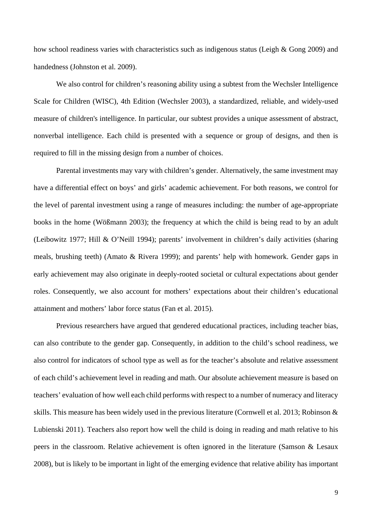how school readiness varies with characteristics such as indigenous status (Leigh & Gong 2009) and handedness (Johnston et al. 2009).

We also control for children's reasoning ability using a subtest from the Wechsler Intelligence Scale for Children (WISC), 4th Edition (Wechsler 2003), a standardized, reliable, and widely-used measure of children's intelligence. In particular, our subtest provides a unique assessment of abstract, nonverbal intelligence. Each child is presented with a sequence or group of designs, and then is required to fill in the missing design from a number of choices.

Parental investments may vary with children's gender. Alternatively, the same investment may have a differential effect on boys' and girls' academic achievement. For both reasons, we control for the level of parental investment using a range of measures including: the number of age-appropriate books in the home (Wößmann 2003); the frequency at which the child is being read to by an adult (Leibowitz 1977; Hill & O'Neill 1994); parents' involvement in children's daily activities (sharing meals, brushing teeth) (Amato & Rivera 1999); and parents' help with homework. Gender gaps in early achievement may also originate in deeply-rooted societal or cultural expectations about gender roles. Consequently, we also account for mothers' expectations about their children's educational attainment and mothers' labor force status (Fan et al. 2015).

Previous researchers have argued that gendered educational practices, including teacher bias, can also contribute to the gender gap. Consequently, in addition to the child's school readiness, we also control for indicators of school type as well as for the teacher's absolute and relative assessment of each child's achievement level in reading and math. Our absolute achievement measure is based on teachers' evaluation of how well each child performs with respect to a number of numeracy and literacy skills. This measure has been widely used in the previous literature (Cornwell et al. 2013; Robinson & Lubienski 2011). Teachers also report how well the child is doing in reading and math relative to his peers in the classroom. Relative achievement is often ignored in the literature (Samson & Lesaux 2008), but is likely to be important in light of the emerging evidence that relative ability has important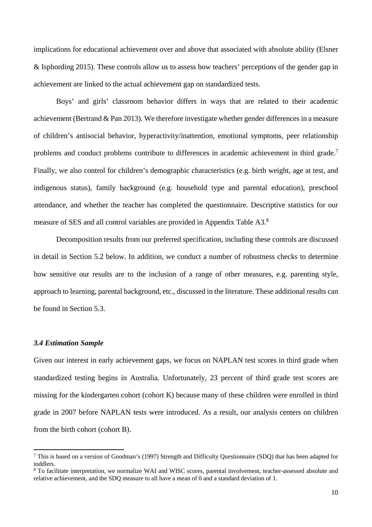implications for educational achievement over and above that associated with absolute ability (Elsner & Isphording 2015). These controls allow us to assess how teachers' perceptions of the gender gap in achievement are linked to the actual achievement gap on standardized tests.

Boys' and girls' classroom behavior differs in ways that are related to their academic achievement (Bertrand & Pan 2013). We therefore investigate whether gender differences in a measure of children's antisocial behavior, hyperactivity/inattention, emotional symptoms, peer relationship problems and conduct problems contribute to differences in academic achievement in third grade.<sup>7</sup> Finally, we also control for children's demographic characteristics (e.g. birth weight, age at test, and indigenous status), family background (e.g. household type and parental education), preschool attendance, and whether the teacher has completed the questionnaire. Descriptive statistics for our measure of SES and all control variables are provided in Appendix Table A3.8

Decomposition results from our preferred specification, including these controls are discussed in detail in Section 5.2 below. In addition, we conduct a number of robustness checks to determine how sensitive our results are to the inclusion of a range of other measures, e.g. parenting style, approach to learning, parental background, etc., discussed in the literature. These additional results can be found in Section 5.3.

#### *3.4 Estimation Sample*

Given our interest in early achievement gaps, we focus on NAPLAN test scores in third grade when standardized testing begins in Australia. Unfortunately, 23 percent of third grade test scores are missing for the kindergarten cohort (cohort K) because many of these children were enrolled in third grade in 2007 before NAPLAN tests were introduced. As a result, our analysis centers on children from the birth cohort (cohort B).

<sup>7</sup> This is based on a version of Goodman's (1997) Strength and Difficulty Questionnaire (SDQ) that has been adapted for toddlers.

<sup>&</sup>lt;sup>8</sup> To facilitate interpretation, we normalize WAI and WISC scores, parental involvement, teacher-assessed absolute and relative achievement, and the SDQ measure to all have a mean of 0 and a standard deviation of 1.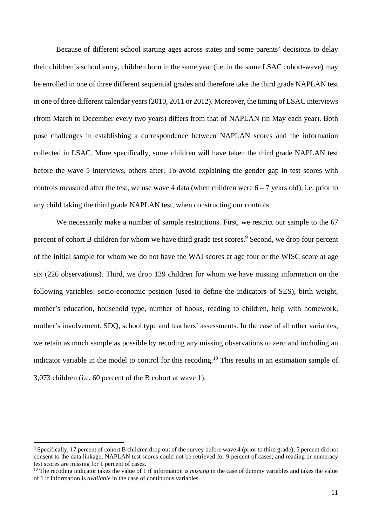Because of different school starting ages across states and some parents' decisions to delay their children's school entry, children born in the same year (i.e. in the same LSAC cohort-wave) may be enrolled in one of three different sequential grades and therefore take the third grade NAPLAN test in one of three different calendar years (2010, 2011 or 2012). Moreover, the timing of LSAC interviews (from March to December every two years) differs from that of NAPLAN (in May each year). Both pose challenges in establishing a correspondence between NAPLAN scores and the information collected in LSAC. More specifically, some children will have taken the third grade NAPLAN test before the wave 5 interviews, others after. To avoid explaining the gender gap in test scores with controls measured after the test, we use wave 4 data (when children were  $6 - 7$  years old), i.e. prior to any child taking the third grade NAPLAN test, when constructing our controls.

 We necessarily make a number of sample restrictions. First, we restrict our sample to the 67 percent of cohort B children for whom we have third grade test scores.<sup>9</sup> Second, we drop four percent of the initial sample for whom we do not have the WAI scores at age four or the WISC score at age six (226 observations). Third, we drop 139 children for whom we have missing information on the following variables: socio-economic position (used to define the indicators of SES), birth weight, mother's education, household type, number of books, reading to children, help with homework, mother's involvement, SDQ, school type and teachers' assessments. In the case of all other variables, we retain as much sample as possible by recoding any missing observations to zero and including an indicator variable in the model to control for this recoding.<sup>10</sup> This results in an estimation sample of 3,073 children (i.e. 60 percent of the B cohort at wave 1).

<sup>&</sup>lt;sup>9</sup> Specifically, 17 percent of cohort B children drop out of the survey before wave 4 (prior to third grade); 5 percent did not consent to the data linkage; NAPLAN test scores could not be retrieved for 9 percent of cases; and reading or numeracy test scores are missing for 1 percent of cases.

<sup>10</sup> The recoding indicator takes the value of 1 if information is *missing* in the case of dummy variables and takes the value of 1 if information is *available* in the case of continuous variables.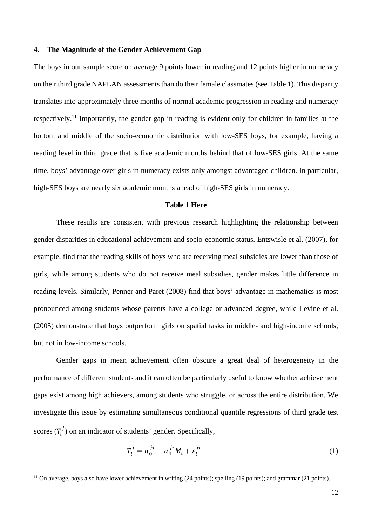#### **4. The Magnitude of the Gender Achievement Gap**

The boys in our sample score on average 9 points lower in reading and 12 points higher in numeracy on their third grade NAPLAN assessments than do their female classmates (see Table 1). This disparity translates into approximately three months of normal academic progression in reading and numeracy respectively.11 Importantly, the gender gap in reading is evident only for children in families at the bottom and middle of the socio-economic distribution with low-SES boys, for example, having a reading level in third grade that is five academic months behind that of low-SES girls. At the same time, boys' advantage over girls in numeracy exists only amongst advantaged children. In particular, high-SES boys are nearly six academic months ahead of high-SES girls in numeracy.

#### **Table 1 Here**

These results are consistent with previous research highlighting the relationship between gender disparities in educational achievement and socio-economic status. Entswisle et al. (2007), for example, find that the reading skills of boys who are receiving meal subsidies are lower than those of girls, while among students who do not receive meal subsidies, gender makes little difference in reading levels. Similarly, Penner and Paret (2008) find that boys' advantage in mathematics is most pronounced among students whose parents have a college or advanced degree, while Levine et al. (2005) demonstrate that boys outperform girls on spatial tasks in middle- and high-income schools, but not in low-income schools.

Gender gaps in mean achievement often obscure a great deal of heterogeneity in the performance of different students and it can often be particularly useful to know whether achievement gaps exist among high achievers, among students who struggle, or across the entire distribution. We investigate this issue by estimating simultaneous conditional quantile regressions of third grade test scores  $(T_i^j)$  on an indicator of students' gender. Specifically,

$$
T_i^j = \alpha_0^{j\tau} + \alpha_1^{j\tau} M_i + \varepsilon_i^{j\tau}
$$
 (1)

<sup>&</sup>lt;sup>11</sup> On average, boys also have lower achievement in writing (24 points); spelling (19 points); and grammar (21 points).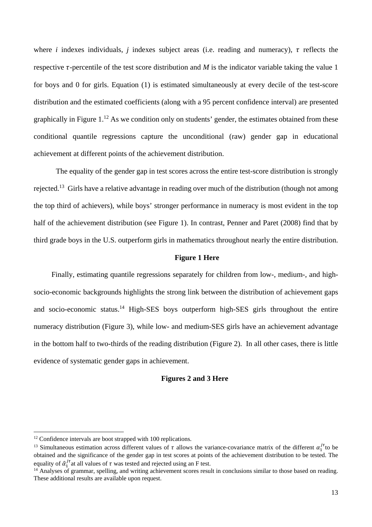where *i* indexes individuals, *j* indexes subject areas (i.e. reading and numeracy),  $\tau$  reflects the respective  $\tau$ -percentile of the test score distribution and *M* is the indicator variable taking the value 1 for boys and 0 for girls. Equation (1) is estimated simultaneously at every decile of the test-score distribution and the estimated coefficients (along with a 95 percent confidence interval) are presented graphically in Figure  $1<sup>12</sup>$  As we condition only on students' gender, the estimates obtained from these conditional quantile regressions capture the unconditional (raw) gender gap in educational achievement at different points of the achievement distribution.

The equality of the gender gap in test scores across the entire test-score distribution is strongly rejected.<sup>13</sup> Girls have a relative advantage in reading over much of the distribution (though not among the top third of achievers), while boys' stronger performance in numeracy is most evident in the top half of the achievement distribution (see Figure 1). In contrast, Penner and Paret (2008) find that by third grade boys in the U.S. outperform girls in mathematics throughout nearly the entire distribution.

#### **Figure 1 Here**

Finally, estimating quantile regressions separately for children from low-, medium-, and highsocio-economic backgrounds highlights the strong link between the distribution of achievement gaps and socio-economic status.<sup>14</sup> High-SES boys outperform high-SES girls throughout the entire numeracy distribution (Figure 3), while low- and medium-SES girls have an achievement advantage in the bottom half to two-thirds of the reading distribution (Figure 2). In all other cases, there is little evidence of systematic gender gaps in achievement.

#### **Figures 2 and 3 Here**

<sup>&</sup>lt;sup>12</sup> Confidence intervals are boot strapped with 100 replications.

<sup>&</sup>lt;sup>13</sup> Simultaneous estimation across different values of  $\tau$  allows the variance-covariance matrix of the different  $\alpha_1^{j\tau}$  to be obtained and the significance of the gender gap in test scores at points of the achievement distribution to be tested. The equality of  $\hat{\alpha}_1^{j\tau}$  at all values of  $\tau$  was tested and rejected using an F test.

 $\frac{14}{4}$  Analyses of grammar, spelling, and writing achievement scores result in conclusions similar to those based on reading. These additional results are available upon request.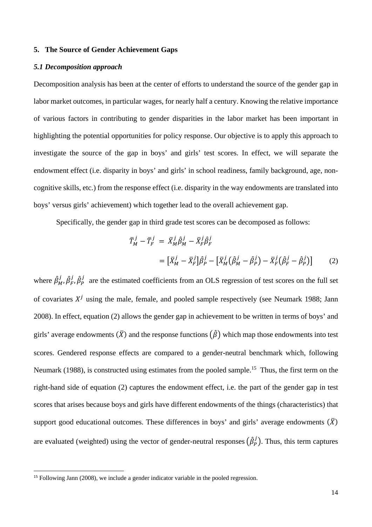#### **5. The Source of Gender Achievement Gaps**

#### *5.1 Decomposition approach*

Decomposition analysis has been at the center of efforts to understand the source of the gender gap in labor market outcomes, in particular wages, for nearly half a century. Knowing the relative importance of various factors in contributing to gender disparities in the labor market has been important in highlighting the potential opportunities for policy response. Our objective is to apply this approach to investigate the source of the gap in boys' and girls' test scores. In effect, we will separate the endowment effect (i.e. disparity in boys' and girls' in school readiness, family background, age, noncognitive skills, etc.) from the response effect (i.e. disparity in the way endowments are translated into boys' versus girls' achievement) which together lead to the overall achievement gap.

Specifically, the gender gap in third grade test scores can be decomposed as follows:

$$
\begin{split} \bar{T}_{M}^{j} - \bar{T}_{F}^{j} &= \bar{X}_{M}^{j} \hat{\beta}_{M}^{j} - \bar{X}_{F}^{j} \hat{\beta}_{F}^{j} \\ &= \left[ \bar{X}_{M}^{j} - \bar{X}_{F}^{j} \right] \hat{\beta}_{P}^{j} - \left[ \bar{X}_{M}^{j} (\hat{\beta}_{M}^{j} - \hat{\beta}_{P}^{j}) - \bar{X}_{F}^{j} (\hat{\beta}_{F}^{j} - \hat{\beta}_{P}^{j}) \right] \end{split} \tag{2}
$$

where  $\hat{\beta}_M^j$ ,  $\hat{\beta}_F^j$  $_{\rm F}^j$  ,  $\hat{\beta}_P^{\,j}$  $\frac{a}{b}$  are the estimated coefficients from an OLS regression of test scores on the full set of covariates  $X^j$  using the male, female, and pooled sample respectively (see Neumark 1988; Jann 2008). In effect, equation (2) allows the gender gap in achievement to be written in terms of boys' and girls' average endowments  $(\bar{X})$  and the response functions  $(\hat{\beta})$  which map those endowments into test scores. Gendered response effects are compared to a gender-neutral benchmark which, following Neumark (1988), is constructed using estimates from the pooled sample.<sup>15</sup> Thus, the first term on the right-hand side of equation (2) captures the endowment effect, i.e. the part of the gender gap in test scores that arises because boys and girls have different endowments of the things (characteristics) that support good educational outcomes. These differences in boys' and girls' average endowments  $(\bar{X})$ are evaluated (weighted) using the vector of gender-neutral responses  $(\hat{\beta}_P^j)$  $J<sub>p</sub>$ ). Thus, this term captures

<sup>&</sup>lt;sup>15</sup> Following Jann (2008), we include a gender indicator variable in the pooled regression.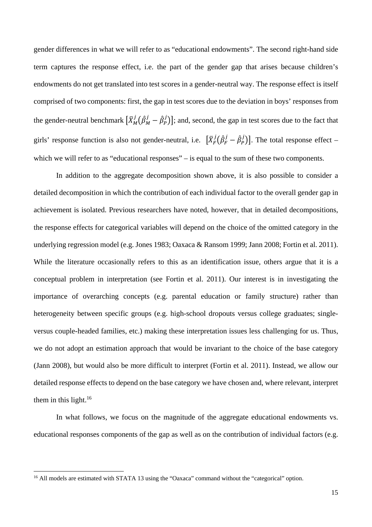gender differences in what we will refer to as "educational endowments". The second right-hand side term captures the response effect, i.e. the part of the gender gap that arises because children's endowments do not get translated into test scores in a gender-neutral way. The response effect is itself comprised of two components: first, the gap in test scores due to the deviation in boys' responses from the gender-neutral benchmark  $\left[ \bar{X}_M^j (\hat{\beta}_M^j - \hat{\beta}_P^j \right]$  $\begin{bmatrix} j \\ p \end{bmatrix}$ ; and, second, the gap in test scores due to the fact that girls' response function is also not gender-neutral, i.e.  $\left[\bar{X}_{F}^{j}\right]$  $_{F}^{j}(\hat{\beta}^{j}_{F}-\hat{\beta}^{j}_{P}% )=\hat{\beta}^{j}_{F}(\hat{\beta}^{j}_{F}-\hat{\beta}^{j}_{P})$  $\binom{j}{p}$ . The total response effect – which we will refer to as "educational responses" – is equal to the sum of these two components.

In addition to the aggregate decomposition shown above, it is also possible to consider a detailed decomposition in which the contribution of each individual factor to the overall gender gap in achievement is isolated. Previous researchers have noted, however, that in detailed decompositions, the response effects for categorical variables will depend on the choice of the omitted category in the underlying regression model (e.g. Jones 1983; Oaxaca & Ransom 1999; Jann 2008; Fortin et al. 2011). While the literature occasionally refers to this as an identification issue, others argue that it is a conceptual problem in interpretation (see Fortin et al. 2011). Our interest is in investigating the importance of overarching concepts (e.g. parental education or family structure) rather than heterogeneity between specific groups (e.g. high-school dropouts versus college graduates; singleversus couple-headed families, etc.) making these interpretation issues less challenging for us. Thus, we do not adopt an estimation approach that would be invariant to the choice of the base category (Jann 2008), but would also be more difficult to interpret (Fortin et al. 2011). Instead, we allow our detailed response effects to depend on the base category we have chosen and, where relevant, interpret them in this light. $16$ 

 In what follows, we focus on the magnitude of the aggregate educational endowments vs. educational responses components of the gap as well as on the contribution of individual factors (e.g.

<sup>&</sup>lt;sup>16</sup> All models are estimated with STATA 13 using the "Oaxaca" command without the "categorical" option.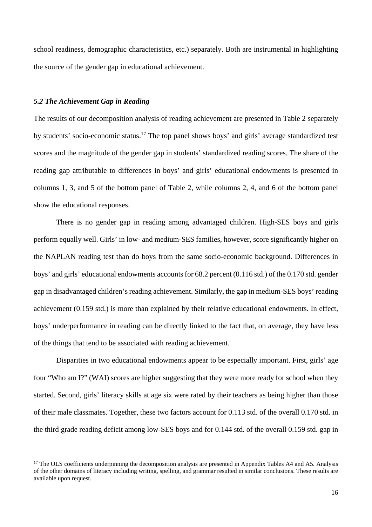school readiness, demographic characteristics, etc.) separately. Both are instrumental in highlighting the source of the gender gap in educational achievement.

#### *5.2 The Achievement Gap in Reading*

The results of our decomposition analysis of reading achievement are presented in Table 2 separately by students' socio-economic status.17 The top panel shows boys' and girls' average standardized test scores and the magnitude of the gender gap in students' standardized reading scores. The share of the reading gap attributable to differences in boys' and girls' educational endowments is presented in columns 1, 3, and 5 of the bottom panel of Table 2, while columns 2, 4, and 6 of the bottom panel show the educational responses.

There is no gender gap in reading among advantaged children. High-SES boys and girls perform equally well. Girls' in low- and medium-SES families, however, score significantly higher on the NAPLAN reading test than do boys from the same socio-economic background. Differences in boys' and girls' educational endowments accounts for 68.2 percent (0.116 std.) of the 0.170 std. gender gap in disadvantaged children's reading achievement. Similarly, the gap in medium-SES boys' reading achievement (0.159 std.) is more than explained by their relative educational endowments. In effect, boys' underperformance in reading can be directly linked to the fact that, on average, they have less of the things that tend to be associated with reading achievement.

Disparities in two educational endowments appear to be especially important. First, girls' age four "Who am I?" (WAI) scores are higher suggesting that they were more ready for school when they started. Second, girls' literacy skills at age six were rated by their teachers as being higher than those of their male classmates. Together, these two factors account for 0.113 std. of the overall 0.170 std. in the third grade reading deficit among low-SES boys and for 0.144 std. of the overall 0.159 std. gap in

<sup>&</sup>lt;sup>17</sup> The OLS coefficients underpinning the decomposition analysis are presented in Appendix Tables A4 and A5. Analysis of the other domains of literacy including writing, spelling, and grammar resulted in similar conclusions. These results are available upon request.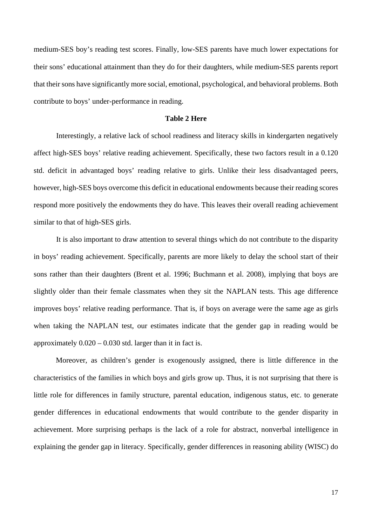medium-SES boy's reading test scores. Finally, low-SES parents have much lower expectations for their sons' educational attainment than they do for their daughters, while medium-SES parents report that their sons have significantly more social, emotional, psychological, and behavioral problems. Both contribute to boys' under-performance in reading.

#### **Table 2 Here**

Interestingly, a relative lack of school readiness and literacy skills in kindergarten negatively affect high-SES boys' relative reading achievement. Specifically, these two factors result in a 0.120 std. deficit in advantaged boys' reading relative to girls. Unlike their less disadvantaged peers, however, high-SES boys overcome this deficit in educational endowments because their reading scores respond more positively the endowments they do have. This leaves their overall reading achievement similar to that of high-SES girls.

It is also important to draw attention to several things which do not contribute to the disparity in boys' reading achievement. Specifically, parents are more likely to delay the school start of their sons rather than their daughters (Brent et al. 1996; Buchmann et al. 2008), implying that boys are slightly older than their female classmates when they sit the NAPLAN tests. This age difference improves boys' relative reading performance. That is, if boys on average were the same age as girls when taking the NAPLAN test, our estimates indicate that the gender gap in reading would be approximately  $0.020 - 0.030$  std. larger than it in fact is.

 Moreover, as children's gender is exogenously assigned, there is little difference in the characteristics of the families in which boys and girls grow up. Thus, it is not surprising that there is little role for differences in family structure, parental education, indigenous status, etc. to generate gender differences in educational endowments that would contribute to the gender disparity in achievement. More surprising perhaps is the lack of a role for abstract, nonverbal intelligence in explaining the gender gap in literacy. Specifically, gender differences in reasoning ability (WISC) do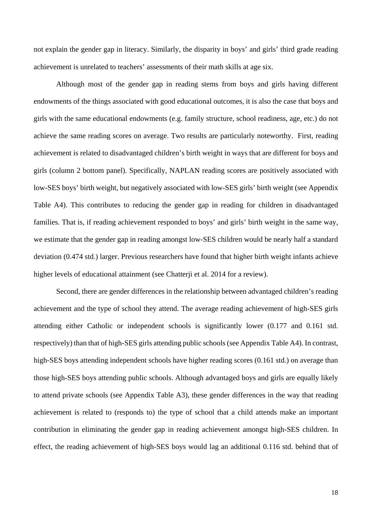not explain the gender gap in literacy. Similarly, the disparity in boys' and girls' third grade reading achievement is unrelated to teachers' assessments of their math skills at age six.

 Although most of the gender gap in reading stems from boys and girls having different endowments of the things associated with good educational outcomes, it is also the case that boys and girls with the same educational endowments (e.g. family structure, school readiness, age, etc.) do not achieve the same reading scores on average. Two results are particularly noteworthy. First, reading achievement is related to disadvantaged children's birth weight in ways that are different for boys and girls (column 2 bottom panel). Specifically, NAPLAN reading scores are positively associated with low-SES boys' birth weight, but negatively associated with low-SES girls' birth weight (see Appendix Table A4). This contributes to reducing the gender gap in reading for children in disadvantaged families. That is, if reading achievement responded to boys' and girls' birth weight in the same way, we estimate that the gender gap in reading amongst low-SES children would be nearly half a standard deviation (0.474 std.) larger. Previous researchers have found that higher birth weight infants achieve higher levels of educational attainment (see Chatterji et al. 2014 for a review).

Second, there are gender differences in the relationship between advantaged children's reading achievement and the type of school they attend. The average reading achievement of high-SES girls attending either Catholic or independent schools is significantly lower (0.177 and 0.161 std. respectively) than that of high-SES girls attending public schools (see Appendix Table A4). In contrast, high-SES boys attending independent schools have higher reading scores (0.161 std.) on average than those high-SES boys attending public schools. Although advantaged boys and girls are equally likely to attend private schools (see Appendix Table A3), these gender differences in the way that reading achievement is related to (responds to) the type of school that a child attends make an important contribution in eliminating the gender gap in reading achievement amongst high-SES children. In effect, the reading achievement of high-SES boys would lag an additional 0.116 std. behind that of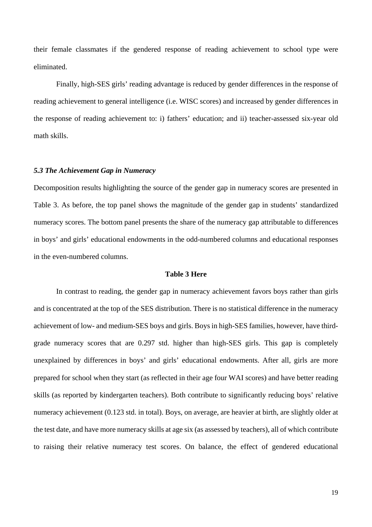their female classmates if the gendered response of reading achievement to school type were eliminated.

Finally, high-SES girls' reading advantage is reduced by gender differences in the response of reading achievement to general intelligence (i.e. WISC scores) and increased by gender differences in the response of reading achievement to: i) fathers' education; and ii) teacher-assessed six-year old math skills.

#### *5.3 The Achievement Gap in Numeracy*

Decomposition results highlighting the source of the gender gap in numeracy scores are presented in Table 3. As before, the top panel shows the magnitude of the gender gap in students' standardized numeracy scores. The bottom panel presents the share of the numeracy gap attributable to differences in boys' and girls' educational endowments in the odd-numbered columns and educational responses in the even-numbered columns.

#### **Table 3 Here**

 In contrast to reading, the gender gap in numeracy achievement favors boys rather than girls and is concentrated at the top of the SES distribution. There is no statistical difference in the numeracy achievement of low- and medium-SES boys and girls. Boys in high-SES families, however, have thirdgrade numeracy scores that are 0.297 std. higher than high-SES girls. This gap is completely unexplained by differences in boys' and girls' educational endowments. After all, girls are more prepared for school when they start (as reflected in their age four WAI scores) and have better reading skills (as reported by kindergarten teachers). Both contribute to significantly reducing boys' relative numeracy achievement (0.123 std. in total). Boys, on average, are heavier at birth, are slightly older at the test date, and have more numeracy skills at age six (as assessed by teachers), all of which contribute to raising their relative numeracy test scores. On balance, the effect of gendered educational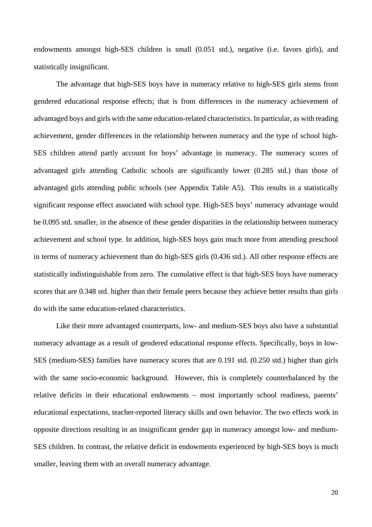endowments amongst high-SES children is small (0.051 std.), negative (i.e. favors girls), and statistically insignificant.

 The advantage that high-SES boys have in numeracy relative to high-SES girls stems from gendered educational response effects; that is from differences in the numeracy achievement of advantaged boys and girls with the same education-related characteristics. In particular, as with reading achievement, gender differences in the relationship between numeracy and the type of school high-SES children attend partly account for boys' advantage in numeracy. The numeracy scores of advantaged girls attending Catholic schools are significantly lower (0.285 std.) than those of advantaged girls attending public schools (see Appendix Table A5). This results in a statistically significant response effect associated with school type. High-SES boys' numeracy advantage would be 0.095 std. smaller, in the absence of these gender disparities in the relationship between numeracy achievement and school type. In addition, high-SES boys gain much more from attending preschool in terms of numeracy achievement than do high-SES girls (0.436 std.). All other response effects are statistically indistinguishable from zero. The cumulative effect is that high-SES boys have numeracy scores that are 0.348 std. higher than their female peers because they achieve better results than girls do with the same education-related characteristics.

 Like their more advantaged counterparts, low- and medium-SES boys also have a substantial numeracy advantage as a result of gendered educational response effects. Specifically, boys in low-SES (medium-SES) families have numeracy scores that are 0.191 std. (0.250 std.) higher than girls with the same socio-economic background. However, this is completely counterbalanced by the relative deficits in their educational endowments – most importantly school readiness, parents' educational expectations, teacher-reported literacy skills and own behavior. The two effects work in opposite directions resulting in an insignificant gender gap in numeracy amongst low- and medium-SES children. In contrast, the relative deficit in endowments experienced by high-SES boys is much smaller, leaving them with an overall numeracy advantage.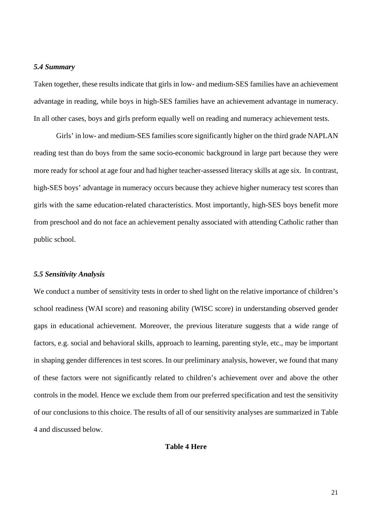#### *5.4 Summary*

Taken together, these results indicate that girls in low- and medium-SES families have an achievement advantage in reading, while boys in high-SES families have an achievement advantage in numeracy. In all other cases, boys and girls preform equally well on reading and numeracy achievement tests.

 Girls' in low- and medium-SES families score significantly higher on the third grade NAPLAN reading test than do boys from the same socio-economic background in large part because they were more ready for school at age four and had higher teacher-assessed literacy skills at age six. In contrast, high-SES boys' advantage in numeracy occurs because they achieve higher numeracy test scores than girls with the same education-related characteristics. Most importantly, high-SES boys benefit more from preschool and do not face an achievement penalty associated with attending Catholic rather than public school.

#### *5.5 Sensitivity Analysis*

We conduct a number of sensitivity tests in order to shed light on the relative importance of children's school readiness (WAI score) and reasoning ability (WISC score) in understanding observed gender gaps in educational achievement. Moreover, the previous literature suggests that a wide range of factors, e.g. social and behavioral skills, approach to learning, parenting style, etc., may be important in shaping gender differences in test scores. In our preliminary analysis, however, we found that many of these factors were not significantly related to children's achievement over and above the other controls in the model. Hence we exclude them from our preferred specification and test the sensitivity of our conclusions to this choice. The results of all of our sensitivity analyses are summarized in Table 4 and discussed below.

**Table 4 Here**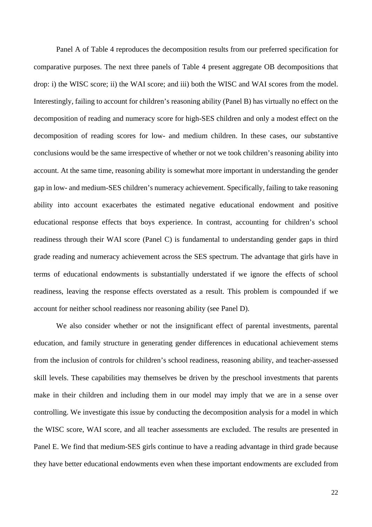Panel A of Table 4 reproduces the decomposition results from our preferred specification for comparative purposes. The next three panels of Table 4 present aggregate OB decompositions that drop: i) the WISC score; ii) the WAI score; and iii) both the WISC and WAI scores from the model. Interestingly, failing to account for children's reasoning ability (Panel B) has virtually no effect on the decomposition of reading and numeracy score for high-SES children and only a modest effect on the decomposition of reading scores for low- and medium children. In these cases, our substantive conclusions would be the same irrespective of whether or not we took children's reasoning ability into account. At the same time, reasoning ability is somewhat more important in understanding the gender gap in low- and medium-SES children's numeracy achievement. Specifically, failing to take reasoning ability into account exacerbates the estimated negative educational endowment and positive educational response effects that boys experience. In contrast, accounting for children's school readiness through their WAI score (Panel C) is fundamental to understanding gender gaps in third grade reading and numeracy achievement across the SES spectrum. The advantage that girls have in terms of educational endowments is substantially understated if we ignore the effects of school readiness, leaving the response effects overstated as a result. This problem is compounded if we account for neither school readiness nor reasoning ability (see Panel D).

We also consider whether or not the insignificant effect of parental investments, parental education, and family structure in generating gender differences in educational achievement stems from the inclusion of controls for children's school readiness, reasoning ability, and teacher-assessed skill levels. These capabilities may themselves be driven by the preschool investments that parents make in their children and including them in our model may imply that we are in a sense over controlling. We investigate this issue by conducting the decomposition analysis for a model in which the WISC score, WAI score, and all teacher assessments are excluded. The results are presented in Panel E. We find that medium-SES girls continue to have a reading advantage in third grade because they have better educational endowments even when these important endowments are excluded from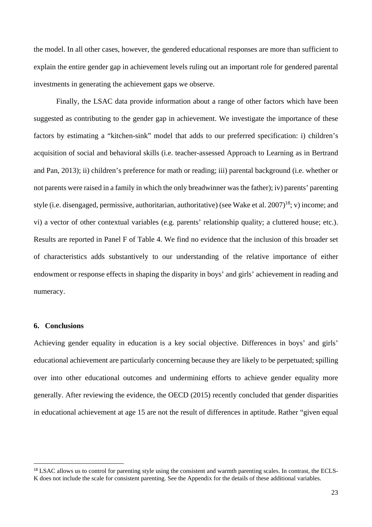the model. In all other cases, however, the gendered educational responses are more than sufficient to explain the entire gender gap in achievement levels ruling out an important role for gendered parental investments in generating the achievement gaps we observe.

 Finally, the LSAC data provide information about a range of other factors which have been suggested as contributing to the gender gap in achievement. We investigate the importance of these factors by estimating a "kitchen-sink" model that adds to our preferred specification: i) children's acquisition of social and behavioral skills (i.e. teacher-assessed Approach to Learning as in Bertrand and Pan, 2013); ii) children's preference for math or reading; iii) parental background (i.e. whether or not parents were raised in a family in which the only breadwinner was the father); iv) parents' parenting style (i.e. disengaged, permissive, authoritarian, authoritative) (see Wake et al.  $2007$ <sup>18</sup>; v) income; and vi) a vector of other contextual variables (e.g. parents' relationship quality; a cluttered house; etc.). Results are reported in Panel F of Table 4. We find no evidence that the inclusion of this broader set of characteristics adds substantively to our understanding of the relative importance of either endowment or response effects in shaping the disparity in boys' and girls' achievement in reading and numeracy.

#### **6. Conclusions**

Achieving gender equality in education is a key social objective. Differences in boys' and girls' educational achievement are particularly concerning because they are likely to be perpetuated; spilling over into other educational outcomes and undermining efforts to achieve gender equality more generally. After reviewing the evidence, the OECD (2015) recently concluded that gender disparities in educational achievement at age 15 are not the result of differences in aptitude. Rather "given equal

<sup>&</sup>lt;sup>18</sup> LSAC allows us to control for parenting style using the consistent and warmth parenting scales. In contrast, the ECLS-K does not include the scale for consistent parenting. See the Appendix for the details of these additional variables.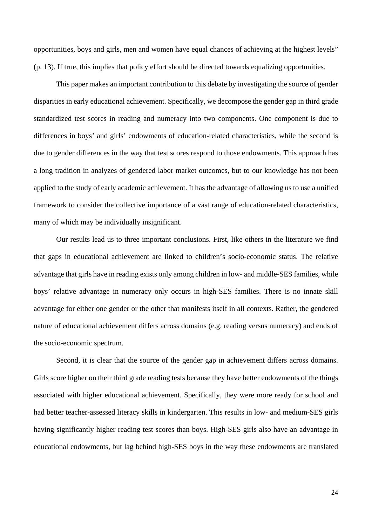opportunities, boys and girls, men and women have equal chances of achieving at the highest levels" (p. 13). If true, this implies that policy effort should be directed towards equalizing opportunities.

 This paper makes an important contribution to this debate by investigating the source of gender disparities in early educational achievement. Specifically, we decompose the gender gap in third grade standardized test scores in reading and numeracy into two components. One component is due to differences in boys' and girls' endowments of education-related characteristics, while the second is due to gender differences in the way that test scores respond to those endowments. This approach has a long tradition in analyzes of gendered labor market outcomes, but to our knowledge has not been applied to the study of early academic achievement. It has the advantage of allowing us to use a unified framework to consider the collective importance of a vast range of education-related characteristics, many of which may be individually insignificant.

Our results lead us to three important conclusions. First, like others in the literature we find that gaps in educational achievement are linked to children's socio-economic status. The relative advantage that girls have in reading exists only among children in low- and middle-SES families, while boys' relative advantage in numeracy only occurs in high-SES families. There is no innate skill advantage for either one gender or the other that manifests itself in all contexts. Rather, the gendered nature of educational achievement differs across domains (e.g. reading versus numeracy) and ends of the socio-economic spectrum.

Second, it is clear that the source of the gender gap in achievement differs across domains. Girls score higher on their third grade reading tests because they have better endowments of the things associated with higher educational achievement. Specifically, they were more ready for school and had better teacher-assessed literacy skills in kindergarten. This results in low- and medium-SES girls having significantly higher reading test scores than boys. High-SES girls also have an advantage in educational endowments, but lag behind high-SES boys in the way these endowments are translated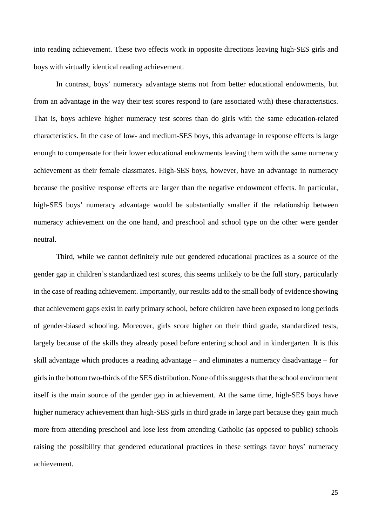into reading achievement. These two effects work in opposite directions leaving high-SES girls and boys with virtually identical reading achievement.

In contrast, boys' numeracy advantage stems not from better educational endowments, but from an advantage in the way their test scores respond to (are associated with) these characteristics. That is, boys achieve higher numeracy test scores than do girls with the same education-related characteristics. In the case of low- and medium-SES boys, this advantage in response effects is large enough to compensate for their lower educational endowments leaving them with the same numeracy achievement as their female classmates. High-SES boys, however, have an advantage in numeracy because the positive response effects are larger than the negative endowment effects. In particular, high-SES boys' numeracy advantage would be substantially smaller if the relationship between numeracy achievement on the one hand, and preschool and school type on the other were gender neutral.

Third, while we cannot definitely rule out gendered educational practices as a source of the gender gap in children's standardized test scores, this seems unlikely to be the full story, particularly in the case of reading achievement. Importantly, our results add to the small body of evidence showing that achievement gaps exist in early primary school, before children have been exposed to long periods of gender-biased schooling. Moreover, girls score higher on their third grade, standardized tests, largely because of the skills they already posed before entering school and in kindergarten. It is this skill advantage which produces a reading advantage – and eliminates a numeracy disadvantage – for girls in the bottom two-thirds of the SES distribution. None of this suggests that the school environment itself is the main source of the gender gap in achievement. At the same time, high-SES boys have higher numeracy achievement than high-SES girls in third grade in large part because they gain much more from attending preschool and lose less from attending Catholic (as opposed to public) schools raising the possibility that gendered educational practices in these settings favor boys' numeracy achievement.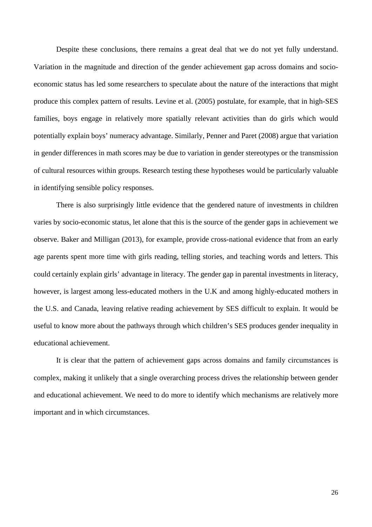Despite these conclusions, there remains a great deal that we do not yet fully understand. Variation in the magnitude and direction of the gender achievement gap across domains and socioeconomic status has led some researchers to speculate about the nature of the interactions that might produce this complex pattern of results. Levine et al. (2005) postulate, for example, that in high-SES families, boys engage in relatively more spatially relevant activities than do girls which would potentially explain boys' numeracy advantage. Similarly, Penner and Paret (2008) argue that variation in gender differences in math scores may be due to variation in gender stereotypes or the transmission of cultural resources within groups. Research testing these hypotheses would be particularly valuable in identifying sensible policy responses.

There is also surprisingly little evidence that the gendered nature of investments in children varies by socio-economic status, let alone that this is the source of the gender gaps in achievement we observe. Baker and Milligan (2013), for example, provide cross-national evidence that from an early age parents spent more time with girls reading, telling stories, and teaching words and letters. This could certainly explain girls' advantage in literacy. The gender gap in parental investments in literacy, however, is largest among less-educated mothers in the U.K and among highly-educated mothers in the U.S. and Canada, leaving relative reading achievement by SES difficult to explain. It would be useful to know more about the pathways through which children's SES produces gender inequality in educational achievement.

It is clear that the pattern of achievement gaps across domains and family circumstances is complex, making it unlikely that a single overarching process drives the relationship between gender and educational achievement. We need to do more to identify which mechanisms are relatively more important and in which circumstances.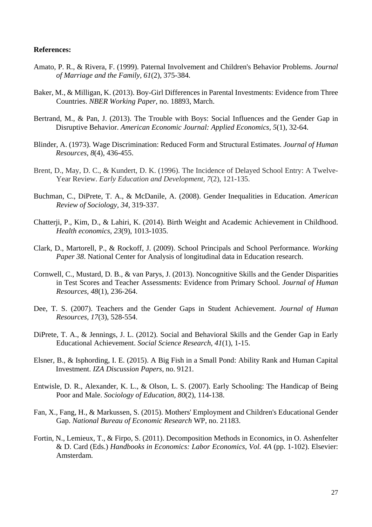#### **References:**

- Amato, P. R., & Rivera, F. (1999). Paternal Involvement and Children's Behavior Problems. *Journal of Marriage and the Family, 61*(2), 375-384.
- Baker, M., & Milligan, K. (2013). Boy-Girl Differences in Parental Investments: Evidence from Three Countries. *NBER Working Paper*, no. 18893, March.
- Bertrand, M., & Pan, J. (2013). The Trouble with Boys: Social Influences and the Gender Gap in Disruptive Behavior. *American Economic Journal: Applied Economics, 5*(1), 32-64.
- Blinder, A. (1973). Wage Discrimination: Reduced Form and Structural Estimates. *Journal of Human Resources, 8*(4), 436-455.
- Brent, D., May, D. C., & Kundert, D. K. (1996). The Incidence of Delayed School Entry: A Twelve-Year Review. *Early Education and Development, 7*(2), 121-135.
- Buchman, C., DiPrete, T. A., & McDanile, A. (2008). Gender Inequalities in Education. *American Review of Sociology, 34*, 319-337.
- Chatterji, P., Kim, D., & Lahiri, K. (2014). Birth Weight and Academic Achievement in Childhood. *Health economics*, *23*(9), 1013-1035.
- Clark, D., Martorell, P., & Rockoff, J. (2009). School Principals and School Performance. *Working Paper 38*. National Center for Analysis of longitudinal data in Education research.
- Cornwell, C., Mustard, D. B., & van Parys, J. (2013). Noncognitive Skills and the Gender Disparities in Test Scores and Teacher Assessments: Evidence from Primary School. *Journal of Human Resources, 48*(1), 236-264.
- Dee, T. S. (2007). Teachers and the Gender Gaps in Student Achievement. *Journal of Human Resources, 17*(3), 528-554.
- DiPrete, T. A., & Jennings, J. L. (2012). Social and Behavioral Skills and the Gender Gap in Early Educational Achievement. *Social Science Research*, *41*(1), 1-15.
- Elsner, B., & Isphording, I. E. (2015). A Big Fish in a Small Pond: Ability Rank and Human Capital Investment. *IZA Discussion Papers,* no. 9121.
- Entwisle, D. R., Alexander, K. L., & Olson, L. S. (2007). Early Schooling: The Handicap of Being Poor and Male. *Sociology of Education, 80*(2), 114-138.
- Fan, X., Fang, H., & Markussen, S. (2015). Mothers' Employment and Children's Educational Gender Gap. *National Bureau of Economic Research* WP, no. 21183.
- Fortin, N., Lemieux, T., & Firpo, S. (2011). Decomposition Methods in Economics, in O. Ashenfelter & D. Card (Eds.) *Handbooks in Economics: Labor Economics, Vol. 4A* (pp. 1-102). Elsevier: Amsterdam.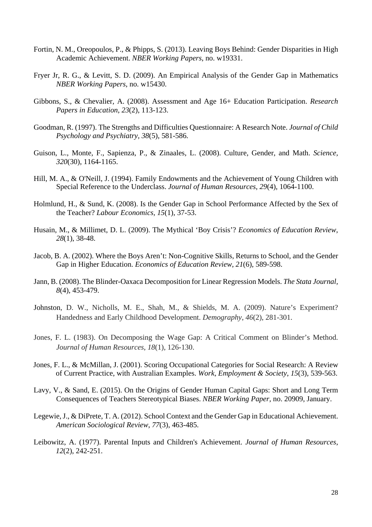- Fortin, N. M., Oreopoulos, P., & Phipps, S. (2013). Leaving Boys Behind: Gender Disparities in High Academic Achievement. *NBER Working Papers*, no. w19331.
- Fryer Jr, R. G., & Levitt, S. D. (2009). An Empirical Analysis of the Gender Gap in Mathematics *NBER Working Papers*, no. w15430.
- Gibbons, S., & Chevalier, A. (2008). Assessment and Age 16+ Education Participation. *Research Papers in Education*, *23*(2), 113-123.
- Goodman, R. (1997). The Strengths and Difficulties Questionnaire: A Research Note. *Journal of Child Psychology and Psychiatry, 38*(5), 581-586.
- Guison, L., Monte, F., Sapienza, P., & Zinaales, L. (2008). Culture, Gender, and Math. *Science, 320*(30), 1164-1165.
- Hill, M. A., & O'Neill, J. (1994). Family Endowments and the Achievement of Young Children with Special Reference to the Underclass. *Journal of Human Resources*, *29*(4), 1064-1100.
- Holmlund, H., & Sund, K. (2008). Is the Gender Gap in School Performance Affected by the Sex of the Teacher? *Labour Economics, 15*(1), 37-53.
- Husain, M., & Millimet, D. L. (2009). The Mythical 'Boy Crisis'? *Economics of Education Review*, *28*(1), 38-48.
- Jacob, B. A. (2002). Where the Boys Aren't: Non-Cognitive Skills, Returns to School, and the Gender Gap in Higher Education. *Economics of Education Review*, *21*(6), 589-598.
- Jann, B. (2008). The Blinder-Oaxaca Decomposition for Linear Regression Models. *The Stata Journal, 8*(4), 453-479.
- Johnston, D. W., Nicholls, M. E., Shah, M., & Shields, M. A. (2009). Nature's Experiment? Handedness and Early Childhood Development. *Demography*, *46*(2), 281-301.
- Jones, F. L. (1983). On Decomposing the Wage Gap: A Critical Comment on Blinder's Method. *Journal of Human Resources*, *18*(1), 126-130.
- Jones, F. L., & McMillan, J. (2001). Scoring Occupational Categories for Social Research: A Review of Current Practice, with Australian Examples. *Work, Employment & Society*, *15*(3), 539-563.
- Lavy, V., & Sand, E. (2015). On the Origins of Gender Human Capital Gaps: Short and Long Term Consequences of Teachers Stereotypical Biases. *NBER Working Paper,* no. 20909, January.
- Legewie, J., & DiPrete, T. A. (2012). School Context and the Gender Gap in Educational Achievement. *American Sociological Review*, *77*(3), 463-485.
- Leibowitz, A. (1977). Parental Inputs and Children's Achievement. *Journal of Human Resources*, *12*(2), 242-251.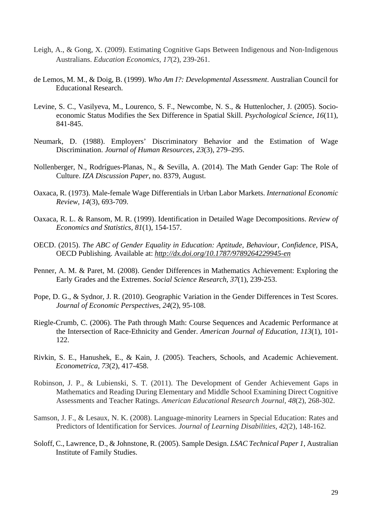- Leigh, A., & Gong, X. (2009). Estimating Cognitive Gaps Between Indigenous and Non-Indigenous Australians. *Education Economics*, *17*(2), 239-261.
- de Lemos, M. M., & Doig, B. (1999). *Who Am I?: Developmental Assessment*. Australian Council for Educational Research.
- Levine, S. C., Vasilyeva, M., Lourenco, S. F., Newcombe, N. S., & Huttenlocher, J. (2005). Socioeconomic Status Modifies the Sex Difference in Spatial Skill. *Psychological Science*, *16*(11), 841-845.
- Neumark, D. (1988). Employers' Discriminatory Behavior and the Estimation of Wage Discrimination. *Journal of Human Resources*, *23*(3), 279–295.
- Nollenberger, N., Rodrígues-Planas, N., & Sevilla, A. (2014). The Math Gender Gap: The Role of Culture. *IZA Discussion Paper*, no. 8379, August.
- Oaxaca, R. (1973). Male-female Wage Differentials in Urban Labor Markets. *International Economic Review, 14*(3), 693-709.
- Oaxaca, R. L. & Ransom, M. R. (1999). Identification in Detailed Wage Decompositions. *Review of Economics and Statistics*, *81*(1), 154-157.
- OECD. (2015). *The ABC of Gender Equality in Education: Aptitude, Behaviour, Confidence,* PISA, OECD Publishing. Available at: *http://dx.doi.org/10.1787/9789264229945-en*
- Penner, A. M. & Paret, M. (2008). Gender Differences in Mathematics Achievement: Exploring the Early Grades and the Extremes. *Social Science Research*, *37*(1), 239-253.
- Pope, D. G., & Sydnor, J. R. (2010). Geographic Variation in the Gender Differences in Test Scores. *Journal of Economic Perspectives, 24*(2), 95-108.
- Riegle-Crumb, C. (2006). The Path through Math: Course Sequences and Academic Performance at the Intersection of Race‐Ethnicity and Gender. *American Journal of Education*, *113*(1), 101- 122.
- Rivkin, S. E., Hanushek, E., & Kain, J. (2005). Teachers, Schools, and Academic Achievement. *Econometrica*, *73*(2), 417-458.
- Robinson, J. P., & Lubienski, S. T. (2011). The Development of Gender Achievement Gaps in Mathematics and Reading During Elementary and Middle School Examining Direct Cognitive Assessments and Teacher Ratings. *American Educational Research Journal, 48*(2), 268-302.
- Samson, J. F., & Lesaux, N. K. (2008). Language-minority Learners in Special Education: Rates and Predictors of Identification for Services. *Journal of Learning Disabilities*, *42*(2), 148-162.
- Soloff, C., Lawrence, D., & Johnstone, R. (2005). Sample Design. *LSAC Technical Paper 1*, Australian Institute of Family Studies.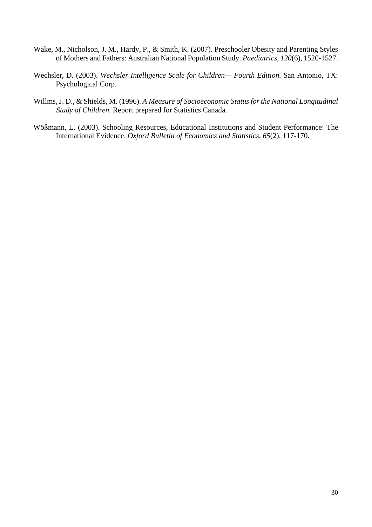- Wake, M., Nicholson, J. M., Hardy, P., & Smith, K. (2007). Preschooler Obesity and Parenting Styles of Mothers and Fathers: Australian National Population Study. *Paediatrics*, *120*(6), 1520-1527.
- Wechsler, D. (2003). *Wechsler Intelligence Scale for Children— Fourth Edition*. San Antonio, TX: Psychological Corp.
- Willms, J. D., & Shields, M. (1996). *A Measure of Socioeconomic Status for the National Longitudinal Study of Children*. Report prepared for Statistics Canada.
- Wößmann, L. (2003). Schooling Resources, Educational Institutions and Student Performance: The International Evidence. *Oxford Bulletin of Economics and Statistics*, *65*(2), 117-170.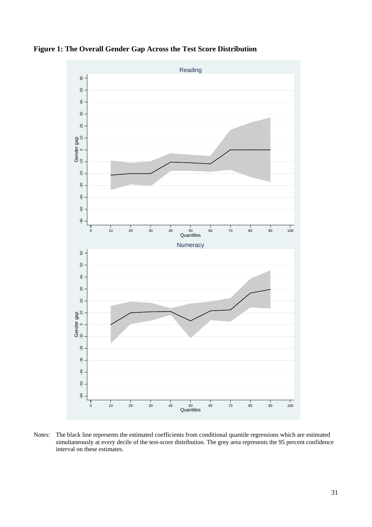



Notes: The black line represents the estimated coefficients from conditional quantile regressions which are estimated simultaneously at every decile of the test-score distribution. The grey area represents the 95 percent confidence interval on these estimates.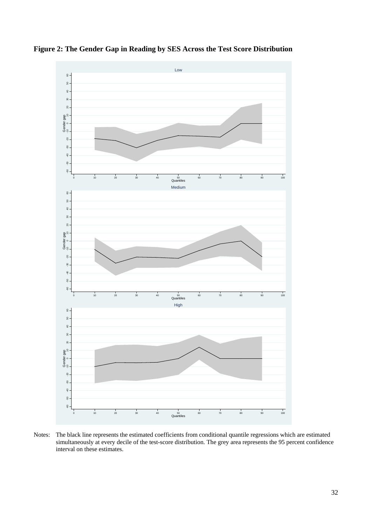

**Figure 2: The Gender Gap in Reading by SES Across the Test Score Distribution** 

Notes: The black line represents the estimated coefficients from conditional quantile regressions which are estimated simultaneously at every decile of the test-score distribution. The grey area represents the 95 percent confidence interval on these estimates.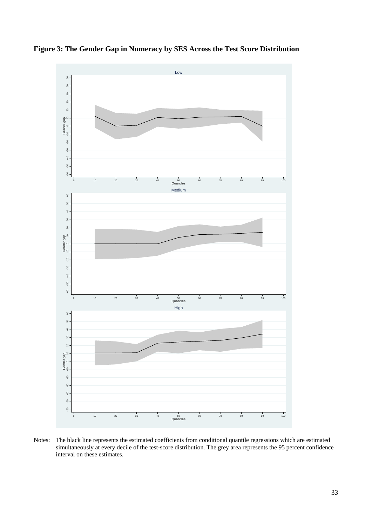

**Figure 3: The Gender Gap in Numeracy by SES Across the Test Score Distribution** 

Notes: The black line represents the estimated coefficients from conditional quantile regressions which are estimated simultaneously at every decile of the test-score distribution. The grey area represents the 95 percent confidence interval on these estimates.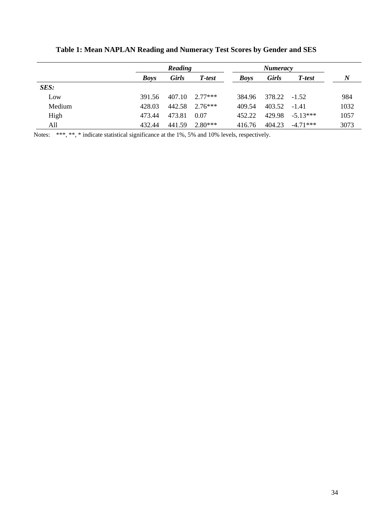|        |             | Reading      |           |             | <b>Numeracy</b> |            |      |  |
|--------|-------------|--------------|-----------|-------------|-----------------|------------|------|--|
|        | <b>Boys</b> | <b>Girls</b> | T-test    | <b>Boys</b> | <b>Girls</b>    | T-test     | N    |  |
| SES:   |             |              |           |             |                 |            |      |  |
| Low    | 391.56      | 407.10       | $2.77***$ | 384.96      | 378.22 -1.52    |            | 984  |  |
| Medium | 428.03      | 442.58       | $2.76***$ | 409.54      | 403.52          | $-1.41$    | 1032 |  |
| High   | 473.44      | 473.81       | 0.07      | 452.22      | 429.98          | $-5.13***$ | 1057 |  |
| All    | 432.44      | 441.59       | $2.80***$ | 416.76      | 404.23          | $-4.71***$ | 3073 |  |

### **Table 1: Mean NAPLAN Reading and Numeracy Test Scores by Gender and SES**

Notes: \*\*\*, \*\*, \* indicate statistical significance at the 1%, 5% and 10% levels, respectively.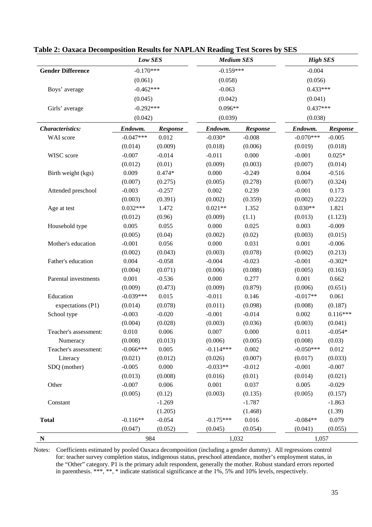|                          | Low SES     |          | <b>Medium SES</b> |          | <b>High SES</b> |            |  |
|--------------------------|-------------|----------|-------------------|----------|-----------------|------------|--|
| <b>Gender Difference</b> | $-0.170***$ |          | $-0.159***$       |          | $-0.004$        |            |  |
|                          | (0.061)     |          |                   | (0.058)  |                 | (0.056)    |  |
| Boys' average            | $-0.462***$ |          | $-0.063$          |          | $0.433***$      |            |  |
|                          | (0.045)     |          | (0.042)           |          | (0.041)         |            |  |
| Girls' average           | $-0.292***$ |          | $0.096**$         |          | $0.437***$      |            |  |
|                          | (0.042)     |          | (0.039)           |          | (0.038)         |            |  |
| Characteristics:         | Endowm.     | Response | Endowm.           | Response | Endowm.         | Response   |  |
| WAI score                | $-0.047***$ | 0.012    | $-0.030*$         | $-0.008$ | $-0.070***$     | $-0.005$   |  |
|                          | (0.014)     | (0.009)  | (0.018)           | (0.006)  | (0.019)         | (0.018)    |  |
| WISC score               | $-0.007$    | $-0.014$ | $-0.011$          | 0.000    | $-0.001$        | $0.025*$   |  |
|                          | (0.012)     | (0.01)   | (0.009)           | (0.003)  | (0.007)         | (0.014)    |  |
| Birth weight (kgs)       | 0.009       | $0.474*$ | 0.000             | $-0.249$ | 0.004           | $-0.516$   |  |
|                          | (0.007)     | (0.275)  | (0.005)           | (0.278)  | (0.007)         | (0.324)    |  |
| Attended preschool       | $-0.003$    | $-0.257$ | 0.002             | 0.239    | $-0.001$        | 0.173      |  |
|                          | (0.003)     | (0.391)  | (0.002)           | (0.359)  | (0.002)         | (0.222)    |  |
| Age at test              | $0.032***$  | 1.472    | $0.021**$         | 1.352    | $0.030**$       | 1.821      |  |
|                          | (0.012)     | (0.96)   | (0.009)           | (1.1)    | (0.013)         | (1.123)    |  |
| Household type           | 0.005       | 0.055    | 0.000             | 0.025    | 0.003           | $-0.009$   |  |
|                          | (0.005)     | (0.04)   | (0.002)           | (0.02)   | (0.003)         | (0.015)    |  |
| Mother's education       | $-0.001$    | 0.056    | 0.000             | 0.031    | 0.001           | $-0.006$   |  |
|                          | (0.002)     | (0.043)  | (0.003)           | (0.078)  | (0.002)         | (0.213)    |  |
| Father's education       | 0.004       | $-0.058$ | $-0.004$          | $-0.023$ | $-0.001$        | $-0.302*$  |  |
|                          | (0.004)     | (0.071)  | (0.006)           | (0.088)  | (0.005)         | (0.163)    |  |
| Parental investments     | 0.001       | $-0.536$ | 0.000             | 0.277    | 0.001           | 0.662      |  |
|                          | (0.009)     | (0.473)  | (0.009)           | (0.879)  | (0.006)         | (0.651)    |  |
| Education                | $-0.039***$ | 0.015    | $-0.011$          | 0.146    | $-0.017**$      | 0.061      |  |
| expectations (P1)        | (0.014)     | (0.078)  | (0.011)           | (0.098)  | (0.008)         | (0.187)    |  |
| School type              | $-0.003$    | $-0.020$ | $-0.001$          | $-0.014$ | 0.002           | $0.116***$ |  |
|                          | (0.004)     | (0.028)  | (0.003)           | (0.036)  | (0.003)         | (0.041)    |  |
| Teacher's assessment:    | 0.010       | 0.006    | 0.007             | 0.000    | 0.011           | $-0.054*$  |  |
| Numeracy                 | (0.008)     | (0.013)  | (0.006)           | (0.005)  | (0.008)         | (0.03)     |  |
| Teacher's assessment:    | $-0.066***$ | 0.005    | $-0.114***$       | 0.002    | $-0.050***$     | 0.012      |  |
| Literacy                 | (0.021)     | (0.012)  | (0.026)           | (0.007)  | (0.017)         | (0.033)    |  |
| SDQ (mother)             | $-0.005$    | 0.000    | $-0.033**$        | $-0.012$ | $-0.001$        | $-0.007$   |  |
|                          | (0.013)     | (0.008)  | (0.016)           | (0.01)   | (0.014)         | (0.021)    |  |
| Other                    | $-0.007$    | 0.006    | 0.001             | 0.037    | 0.005           | $-0.029$   |  |
|                          | (0.005)     | (0.12)   | (0.003)           | (0.135)  | (0.005)         | (0.157)    |  |
| Constant                 |             | $-1.269$ |                   | $-1.787$ |                 | $-1.863$   |  |
|                          |             | (1.205)  |                   | (1.468)  |                 | (1.39)     |  |
| <b>Total</b>             | $-0.116**$  | $-0.054$ | $-0.175***$       | 0.016    | $-0.084**$      | 0.079      |  |
|                          | (0.047)     | (0.052)  | (0.045)           | (0.054)  | (0.041)         | (0.055)    |  |
| ${\bf N}$                | 984         |          | 1,032             |          | 1,057           |            |  |

#### **Table 2: Oaxaca Decomposition Results for NAPLAN Reading Test Scores by SES**

Notes: Coefficients estimated by pooled Oaxaca decomposition (including a gender dummy). All regressions control for: teacher survey completion status, indigenous status, preschool attendance, mother's employment status, in the "Other" category. P1 is the primary adult respondent, generally the mother. Robust standard errors reported in parenthesis. \*\*\*, \*\*, \* indicate statistical significance at the 1%, 5% and 10% levels, respectively.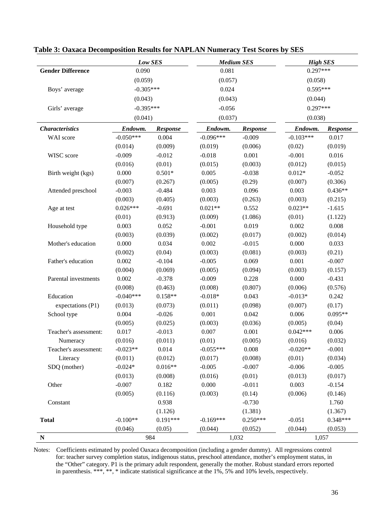|                                   |                       | Low SES              | <b>Medium SES</b>     |                  | <b>High SES</b>       |                     |  |
|-----------------------------------|-----------------------|----------------------|-----------------------|------------------|-----------------------|---------------------|--|
| <b>Gender Difference</b>          | 0.090                 |                      | $0.081\,$<br>(0.057)  |                  | $0.297***$            |                     |  |
|                                   | (0.059)               |                      |                       |                  | (0.058)               |                     |  |
| Boys' average                     | $-0.305***$           |                      | 0.024                 |                  | $0.595***$            |                     |  |
|                                   | (0.043)               |                      | (0.043)               |                  | (0.044)               |                     |  |
| Girls' average                    | $-0.395***$           |                      | $-0.056$              |                  | $0.297***$            |                     |  |
|                                   | (0.041)               |                      | (0.037)               |                  | (0.038)               |                     |  |
| <b>Characteristics</b>            | Endowm.               | Response             | Endowm.               | <b>Response</b>  | Endowm.               | Response            |  |
| WAI score                         | $-0.050***$           | 0.004                | $-0.096***$           | $-0.009$         | $-0.103***$           | 0.017               |  |
|                                   | (0.014)               | (0.009)              | (0.019)               | (0.006)          | (0.02)                | (0.019)             |  |
| WISC score                        | $-0.009$              | $-0.012$             | $-0.018$              | 0.001            | $-0.001$              | 0.016               |  |
|                                   | (0.016)               | (0.01)               | (0.015)               | (0.003)          | (0.012)               | (0.015)             |  |
| Birth weight (kgs)                | 0.000                 | $0.501*$             | 0.005                 | $-0.038$         | $0.012*$              | $-0.052$            |  |
|                                   | (0.007)               | (0.267)              | (0.005)               | (0.29)           | (0.007)               | (0.306)             |  |
| Attended preschool                | $-0.003$              | $-0.484$             | 0.003                 | 0.096            | 0.003                 | $0.436**$           |  |
|                                   | (0.003)               | (0.405)              | (0.003)               | (0.263)          | (0.003)               | (0.215)             |  |
| Age at test                       | $0.026***$            | $-0.691$             | $0.021**$             | 0.552            | $0.023**$             | $-1.615$            |  |
|                                   | (0.01)                | (0.913)              | (0.009)               | (1.086)          | (0.01)                | (1.122)             |  |
| Household type                    | 0.003                 | 0.052                | $-0.001$              | 0.019            | 0.002                 | 0.008               |  |
|                                   | (0.003)               | (0.039)              | (0.002)               | (0.017)          | (0.002)               | (0.014)             |  |
| Mother's education                | 0.000                 | 0.034                | 0.002                 | $-0.015$         | 0.000                 | 0.033               |  |
|                                   | (0.002)               | (0.04)               | (0.003)               | (0.081)          | (0.003)               | (0.21)              |  |
| Father's education                | 0.002                 | $-0.104$             | $-0.005$              | 0.069            | 0.001                 | $-0.007$            |  |
|                                   | (0.004)               | (0.069)              | (0.005)               | (0.094)          | (0.003)               | (0.157)             |  |
| Parental investments              | 0.002                 | $-0.378$             | $-0.009$              | 0.228            | 0.000                 | $-0.431$            |  |
|                                   | (0.008)               | (0.463)              | (0.008)               | (0.807)          | (0.006)               | (0.576)             |  |
| Education                         | $-0.040***$           | $0.158**$            | $-0.018*$             | 0.043            | $-0.013*$             | 0.242               |  |
|                                   |                       | (0.073)              |                       |                  |                       |                     |  |
| expectations (P1)                 | (0.013)<br>0.004      |                      | (0.011)<br>0.001      | (0.098)<br>0.042 | (0.007)<br>0.006      | (0.17)<br>$0.095**$ |  |
| School type                       |                       | $-0.026$             |                       |                  |                       |                     |  |
|                                   | (0.005)<br>0.017      | (0.025)<br>$-0.013$  | (0.003)<br>0.007      | (0.036)<br>0.001 | (0.005)<br>$0.042***$ | (0.04)<br>0.006     |  |
| Teacher's assessment:             |                       |                      |                       |                  |                       | (0.032)             |  |
| Numeracy<br>Teacher's assessment: | (0.016)<br>$-0.023**$ | (0.011)<br>0.014     | (0.01)<br>$-0.055***$ | (0.005)<br>0.008 | (0.016)<br>$-0.020**$ | $-0.001$            |  |
|                                   |                       |                      |                       |                  |                       |                     |  |
| Literacy                          | (0.011)               | (0.012)<br>$0.016**$ | (0.017)               | (0.008)          | (0.01)                | (0.034)             |  |
| SDQ (mother)                      | $-0.024*$             |                      | $-0.005$              | $-0.007$         | $-0.006$              | $-0.005$            |  |
|                                   | (0.013)               | (0.008)              | (0.016)               | (0.01)           | (0.013)               | (0.017)             |  |
| Other                             | $-0.007$              | 0.182                | 0.000<br>(0.003)      | $-0.011$         | 0.003                 | $-0.154$            |  |
|                                   | (0.005)               | (0.116)              |                       | (0.14)           | (0.006)               | (0.146)             |  |
| Constant                          |                       | 0.938                |                       | $-0.730$         |                       | 1.760               |  |
|                                   |                       | (1.126)              |                       | (1.381)          |                       | (1.367)             |  |
| <b>Total</b>                      | $-0.100**$            | $0.191***$           | $-0.169***$           | $0.250***$       | $-0.051$              | $0.348***$          |  |
|                                   | (0.046)               | (0.05)               | (0.044)               | (0.052)          | (0.044)               | (0.053)             |  |
| ${\bf N}$                         | 984                   |                      |                       | 1,032            | 1,057                 |                     |  |

#### **Table 3: Oaxaca Decomposition Results for NAPLAN Numeracy Test Scores by SES**

Notes: Coefficients estimated by pooled Oaxaca decomposition (including a gender dummy). All regressions control for: teacher survey completion status, indigenous status, preschool attendance, mother's employment status, in the "Other" category. P1 is the primary adult respondent, generally the mother. Robust standard errors reported in parenthesis. \*\*\*, \*\*, \* indicate statistical significance at the 1%, 5% and 10% levels, respectively.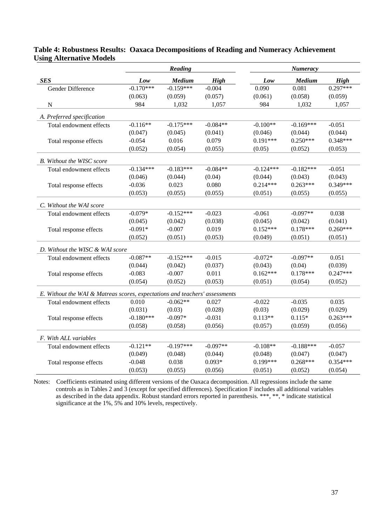|                                                                             |             | Reading     |            |             | Numeracy      |             |
|-----------------------------------------------------------------------------|-------------|-------------|------------|-------------|---------------|-------------|
| <b>SES</b>                                                                  | Low         | Medium      | High       | Low         | <b>Medium</b> | <b>High</b> |
| Gender Difference                                                           | $-0.170***$ | $-0.159***$ | $-0.004$   | 0.090       | 0.081         | $0.297***$  |
|                                                                             | (0.063)     | (0.059)     | (0.057)    | (0.061)     | (0.058)       | (0.059)     |
| ${\bf N}$                                                                   | 984         | 1.032       | 1,057      | 984         | 1,032         | 1,057       |
| A. Preferred specification                                                  |             |             |            |             |               |             |
| Total endowment effects                                                     | $-0.116**$  | $-0.175***$ | $-0.084**$ | $-0.100**$  | $-0.169***$   | $-0.051$    |
|                                                                             | (0.047)     | (0.045)     | (0.041)    | (0.046)     | (0.044)       | (0.044)     |
| Total response effects                                                      | $-0.054$    | 0.016       | 0.079      | $0.191***$  | $0.250***$    | $0.348***$  |
|                                                                             | (0.052)     | (0.054)     | (0.055)    | (0.05)      | (0.052)       | (0.053)     |
| B. Without the WISC score                                                   |             |             |            |             |               |             |
| Total endowment effects                                                     | $-0.134***$ | $-0.183***$ | $-0.084**$ | $-0.124***$ | $-0.182***$   | $-0.051$    |
|                                                                             | (0.046)     | (0.044)     | (0.04)     | (0.044)     | (0.043)       | (0.043)     |
| Total response effects                                                      | $-0.036$    | 0.023       | 0.080      | $0.214***$  | $0.263***$    | $0.349***$  |
|                                                                             | (0.053)     | (0.055)     | (0.055)    | (0.051)     | (0.055)       | (0.055)     |
| C. Without the WAI score                                                    |             |             |            |             |               |             |
| Total endowment effects                                                     | $-0.079*$   | $-0.152***$ | $-0.023$   | $-0.061$    | $-0.097**$    | 0.038       |
|                                                                             | (0.045)     | (0.042)     | (0.038)    | (0.045)     | (0.042)       | (0.041)     |
| Total response effects                                                      | $-0.091*$   | $-0.007$    | 0.019      | $0.152***$  | $0.178***$    | $0.260***$  |
|                                                                             | (0.052)     | (0.051)     | (0.053)    | (0.049)     | (0.051)       | (0.051)     |
| D. Without the WISC & WAI score                                             |             |             |            |             |               |             |
| Total endowment effects                                                     | $-0.087**$  | $-0.152***$ | $-0.015$   | $-0.072*$   | $-0.097**$    | 0.051       |
|                                                                             | (0.044)     | (0.042)     | (0.037)    | (0.043)     | (0.04)        | (0.039)     |
| Total response effects                                                      | $-0.083$    | $-0.007$    | 0.011      | $0.162***$  | $0.178***$    | $0.247***$  |
|                                                                             | (0.054)     | (0.052)     | (0.053)    | (0.051)     | (0.054)       | (0.052)     |
| E. Without the WAI & Matreas scores, expectations and teachers' assessments |             |             |            |             |               |             |
| Total endowment effects                                                     | 0.010       | $-0.062**$  | 0.027      | $-0.022$    | $-0.035$      | 0.035       |
|                                                                             | (0.031)     | (0.03)      | (0.028)    | (0.03)      | (0.029)       | (0.029)     |
| Total response effects                                                      | $-0.180***$ | $-0.097*$   | $-0.031$   | $0.113**$   | $0.115*$      | $0.263***$  |
|                                                                             | (0.058)     | (0.058)     | (0.056)    | (0.057)     | (0.059)       | (0.056)     |
| F. With ALL variables                                                       |             |             |            |             |               |             |
| Total endowment effects                                                     | $-0.121**$  | $-0.197***$ | $-0.097**$ | $-0.108**$  | $-0.188***$   | $-0.057$    |
|                                                                             | (0.049)     | (0.048)     | (0.044)    | (0.048)     | (0.047)       | (0.047)     |
| Total response effects                                                      | $-0.048$    | 0.038       | $0.093*$   | $0.199***$  | $0.268***$    | $0.354***$  |
|                                                                             | (0.053)     | (0.055)     | (0.056)    | (0.051)     | (0.052)       | (0.054)     |

#### **Table 4: Robustness Results: Oaxaca Decompositions of Reading and Numeracy Achievement Using Alternative Models**

Notes: Coefficients estimated using different versions of the Oaxaca decomposition. All regressions include the same controls as in Tables 2 and 3 (except for specified differences). Specification F includes all additional variables as described in the data appendix. Robust standard errors reported in parenthesis. \*\*\*, \*\*, \* indicate statistical significance at the 1%, 5% and 10% levels, respectively.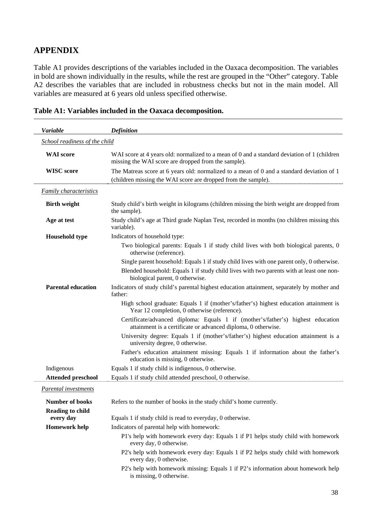### **APPENDIX**

Table A1 provides descriptions of the variables included in the Oaxaca decomposition. The variables in bold are shown individually in the results, while the rest are grouped in the "Other" category. Table A2 describes the variables that are included in robustness checks but not in the main model. All variables are measured at 6 years old unless specified otherwise.

| <b>Variable</b>               | <b>Definition</b>                                                                                                                                          |
|-------------------------------|------------------------------------------------------------------------------------------------------------------------------------------------------------|
| School readiness of the child |                                                                                                                                                            |
| <b>WAI</b> score              | WAI score at 4 years old: normalized to a mean of 0 and a standard deviation of 1 (children<br>missing the WAI score are dropped from the sample).         |
| <b>WISC</b> score             | The Matreas score at 6 years old: normalized to a mean of 0 and a standard deviation of 1<br>(children missing the WAI score are dropped from the sample). |
| Family characteristics        |                                                                                                                                                            |
| <b>Birth weight</b>           | Study child's birth weight in kilograms (children missing the birth weight are dropped from<br>the sample).                                                |
| Age at test                   | Study child's age at Third grade Naplan Test, recorded in months (no children missing this<br>variable).                                                   |
| <b>Household type</b>         | Indicators of household type:                                                                                                                              |
|                               | Two biological parents: Equals 1 if study child lives with both biological parents, 0<br>otherwise (reference).                                            |
|                               | Single parent household: Equals 1 if study child lives with one parent only, 0 otherwise.                                                                  |
|                               | Blended household: Equals 1 if study child lives with two parents with at least one non-<br>biological parent, 0 otherwise.                                |
| <b>Parental education</b>     | Indicators of study child's parental highest education attainment, separately by mother and<br>father:                                                     |
|                               | High school graduate: Equals 1 if (mother's/father's) highest education attainment is<br>Year 12 completion, 0 otherwise (reference).                      |
|                               | Certificate/advanced diploma: Equals 1 if (mother's/father's) highest education<br>attainment is a certificate or advanced diploma, 0 otherwise.           |
|                               | University degree: Equals 1 if (mother's/father's) highest education attainment is a<br>university degree, 0 otherwise.                                    |
|                               | Father's education attainment missing: Equals 1 if information about the father's<br>education is missing, 0 otherwise.                                    |
| Indigenous                    | Equals 1 if study child is indigenous, 0 otherwise.                                                                                                        |
| <b>Attended preschool</b>     | Equals 1 if study child attended preschool, 0 otherwise.                                                                                                   |
| <b>Parental investments</b>   |                                                                                                                                                            |
| <b>Number of books</b>        | Refers to the number of books in the study child's home currently.                                                                                         |
| <b>Reading to child</b>       |                                                                                                                                                            |
| every day                     | Equals 1 if study child is read to everyday, 0 otherwise.                                                                                                  |
| <b>Homework help</b>          | Indicators of parental help with homework:                                                                                                                 |
|                               | P1's help with homework every day: Equals 1 if P1 helps study child with homework<br>every day, 0 otherwise.                                               |
|                               | P2's help with homework every day: Equals 1 if P2 helps study child with homework<br>every day, 0 otherwise.                                               |
|                               | P2's help with homework missing: Equals 1 if P2's information about homework help<br>is missing, 0 otherwise.                                              |

|  |  |  |  | Table A1: Variables included in the Oaxaca decomposition. |
|--|--|--|--|-----------------------------------------------------------|
|--|--|--|--|-----------------------------------------------------------|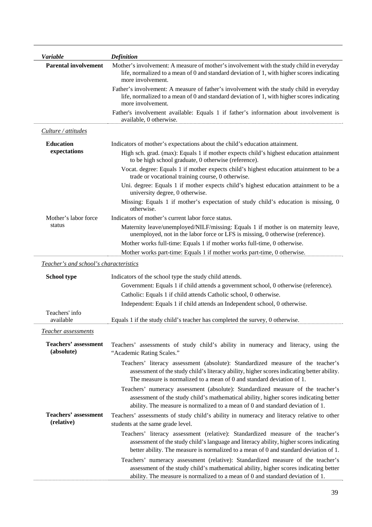| <b>Variable</b>                           | <b>Definition</b>                                                                                                                                                                                                                                                   |
|-------------------------------------------|---------------------------------------------------------------------------------------------------------------------------------------------------------------------------------------------------------------------------------------------------------------------|
| <b>Parental involvement</b>               | Mother's involvement: A measure of mother's involvement with the study child in everyday<br>life, normalized to a mean of 0 and standard deviation of 1, with higher scores indicating<br>more involvement.                                                         |
|                                           | Father's involvement: A measure of father's involvement with the study child in everyday<br>life, normalized to a mean of 0 and standard deviation of 1, with higher scores indicating<br>more involvement.                                                         |
|                                           | Father's involvement available: Equals 1 if father's information about involvement is<br>available, 0 otherwise.                                                                                                                                                    |
| Culture / attitudes                       |                                                                                                                                                                                                                                                                     |
| <b>Education</b>                          | Indicators of mother's expectations about the child's education attainment.                                                                                                                                                                                         |
| expectations                              | High sch. grad. (max): Equals 1 if mother expects child's highest education attainment<br>to be high school graduate, 0 otherwise (reference).                                                                                                                      |
|                                           | Vocat. degree: Equals 1 if mother expects child's highest education attainment to be a<br>trade or vocational training course, 0 otherwise.                                                                                                                         |
|                                           | Uni. degree: Equals 1 if mother expects child's highest education attainment to be a<br>university degree, 0 otherwise.                                                                                                                                             |
|                                           | Missing: Equals 1 if mother's expectation of study child's education is missing, 0<br>otherwise.                                                                                                                                                                    |
| Mother's labor force                      | Indicators of mother's current labor force status.                                                                                                                                                                                                                  |
| status                                    | Maternity leave/unemployed/NILF/missing: Equals 1 if mother is on maternity leave,<br>unemployed, not in the labor force or LFS is missing, 0 otherwise (reference).                                                                                                |
|                                           | Mother works full-time: Equals 1 if mother works full-time, 0 otherwise.                                                                                                                                                                                            |
|                                           | Mother works part-time: Equals 1 if mother works part-time, 0 otherwise.                                                                                                                                                                                            |
| Teacher's and school's characteristics    |                                                                                                                                                                                                                                                                     |
| <b>School type</b>                        | Indicators of the school type the study child attends.                                                                                                                                                                                                              |
|                                           | Government: Equals 1 if child attends a government school, 0 otherwise (reference).                                                                                                                                                                                 |
|                                           | Catholic: Equals 1 if child attends Catholic school, 0 otherwise.                                                                                                                                                                                                   |
|                                           | Independent: Equals 1 if child attends an Independent school, 0 otherwise.                                                                                                                                                                                          |
| Teachers' info<br>available               | Equals 1 if the study child's teacher has completed the survey, 0 otherwise.                                                                                                                                                                                        |
| Teacher assessments                       |                                                                                                                                                                                                                                                                     |
| <b>Teachers' assessment</b><br>(absolute) | Teachers' assessments of study child's ability in numeracy and literacy, using the<br>"Academic Rating Scales."                                                                                                                                                     |
|                                           | Teachers' literacy assessment (absolute): Standardized measure of the teacher's<br>assessment of the study child's literacy ability, higher scores indicating better ability.<br>The measure is normalized to a mean of 0 and standard deviation of 1.              |
|                                           | Teachers' numeracy assessment (absolute): Standardized measure of the teacher's<br>assessment of the study child's mathematical ability, higher scores indicating better<br>ability. The measure is normalized to a mean of 0 and standard deviation of 1.          |
| <b>Teachers' assessment</b><br>(relative) | Teachers' assessments of study child's ability in numeracy and literacy relative to other<br>students at the same grade level.                                                                                                                                      |
|                                           | Teachers' literacy assessment (relative): Standardized measure of the teacher's<br>assessment of the study child's language and literacy ability, higher scores indicating<br>better ability. The measure is normalized to a mean of 0 and standard deviation of 1. |
|                                           | Teachers' numeracy assessment (relative): Standardized measure of the teacher's<br>assessment of the study child's mathematical ability, higher scores indicating better<br>ability. The measure is normalized to a mean of 0 and standard deviation of 1.          |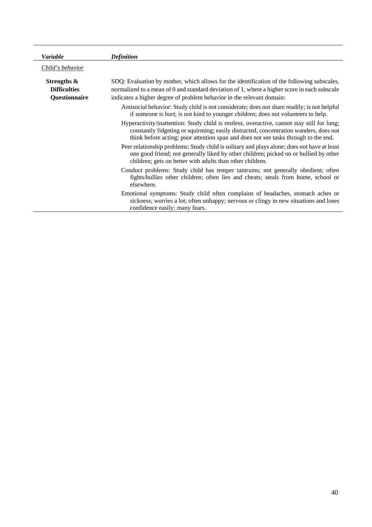| <i><b>Variable</b></i>                              | <b>Definition</b>                                                                                                                                                                                                                                                           |
|-----------------------------------------------------|-----------------------------------------------------------------------------------------------------------------------------------------------------------------------------------------------------------------------------------------------------------------------------|
| Child's behavior                                    |                                                                                                                                                                                                                                                                             |
| Strengths &<br><b>Difficulties</b><br>Questionnaire | SDQ: Evaluation by mother, which allows for the identification of the following subscales,<br>normalized to a mean of 0 and standard deviation of 1, where a higher score in each subscale<br>indicates a higher degree of problem behavior in the relevant domain:         |
|                                                     | Antisocial behavior: Study child is not considerate; does not share readily; is not helpful<br>if someone is hurt; is not kind to younger children; does not volunteers to help.                                                                                            |
|                                                     | Hyperactivity/inattention: Study child is restless, overactive, cannot stay still for long;<br>constantly fidgeting or squirming; easily distracted, concentration wanders, does not<br>think before acting; poor attention span and does not see tasks through to the end. |
|                                                     | Peer relationship problems: Study child is solitary and plays alone; does not have at least<br>one good friend; not generally liked by other children; picked on or bullied by other<br>children; gets on better with adults than other children.                           |
|                                                     | Conduct problems: Study child has temper tantrums; not generally obedient; often<br>fights/bullies other children; often lies and cheats; steals from home, school or<br>elsewhere.                                                                                         |
|                                                     | Emotional symptoms: Study child often complains of headaches, stomach aches or<br>sickness; worries a lot; often unhappy; nervous or clingy in new situations and loses<br>confidence easily; many fears.                                                                   |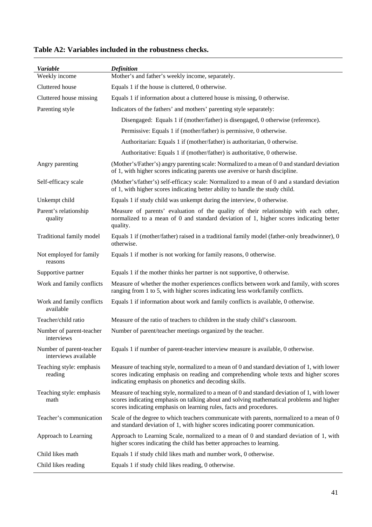| <b>Variable</b>                                  | <b>Definition</b>                                                                                                                                                                                                                                               |
|--------------------------------------------------|-----------------------------------------------------------------------------------------------------------------------------------------------------------------------------------------------------------------------------------------------------------------|
| Weekly income                                    | Mother's and father's weekly income, separately.                                                                                                                                                                                                                |
| Cluttered house                                  | Equals 1 if the house is cluttered, 0 otherwise.                                                                                                                                                                                                                |
| Cluttered house missing                          | Equals 1 if information about a cluttered house is missing, 0 otherwise.                                                                                                                                                                                        |
| Parenting style                                  | Indicators of the fathers' and mothers' parenting style separately:                                                                                                                                                                                             |
|                                                  | Disengaged: Equals 1 if (mother/father) is disengaged, 0 otherwise (reference).                                                                                                                                                                                 |
|                                                  | Permissive: Equals 1 if (mother/father) is permissive, 0 otherwise.                                                                                                                                                                                             |
|                                                  | Authoritarian: Equals 1 if (mother/father) is authoritarian, 0 otherwise.                                                                                                                                                                                       |
|                                                  | Authoritative: Equals 1 if (mother/father) is authoritative, 0 otherwise.                                                                                                                                                                                       |
| Angry parenting                                  | (Mother's/Father's) angry parenting scale: Normalized to a mean of 0 and standard deviation<br>of 1, with higher scores indicating parents use aversive or harsh discipline.                                                                                    |
| Self-efficacy scale                              | (Mother's/father's) self-efficacy scale: Normalized to a mean of 0 and a standard deviation<br>of 1, with higher scores indicating better ability to handle the study child.                                                                                    |
| Unkempt child                                    | Equals 1 if study child was unkempt during the interview, 0 otherwise.                                                                                                                                                                                          |
| Parent's relationship<br>quality                 | Measure of parents' evaluation of the quality of their relationship with each other,<br>normalized to a mean of 0 and standard deviation of 1, higher scores indicating better<br>quality.                                                                      |
| Traditional family model                         | Equals 1 if (mother/father) raised in a traditional family model (father-only breadwinner), 0<br>otherwise.                                                                                                                                                     |
| Not employed for family<br>reasons               | Equals 1 if mother is not working for family reasons, 0 otherwise.                                                                                                                                                                                              |
| Supportive partner                               | Equals 1 if the mother thinks her partner is not supportive, 0 otherwise.                                                                                                                                                                                       |
| Work and family conflicts                        | Measure of whether the mother experiences conflicts between work and family, with scores<br>ranging from 1 to 5, with higher scores indicating less work/family conflicts.                                                                                      |
| Work and family conflicts<br>available           | Equals 1 if information about work and family conflicts is available, 0 otherwise.                                                                                                                                                                              |
| Teacher/child ratio                              | Measure of the ratio of teachers to children in the study child's classroom.                                                                                                                                                                                    |
| Number of parent-teacher<br>interviews           | Number of parent/teacher meetings organized by the teacher.                                                                                                                                                                                                     |
| Number of parent-teacher<br>interviews available | Equals 1 if number of parent-teacher interview measure is available, 0 otherwise.                                                                                                                                                                               |
| Teaching style: emphasis<br>reading              | Measure of teaching style, normalized to a mean of 0 and standard deviation of 1, with lower<br>scores indicating emphasis on reading and comprehending whole texts and higher scores<br>indicating emphasis on phonetics and decoding skills.                  |
| Teaching style: emphasis<br>math                 | Measure of teaching style, normalized to a mean of 0 and standard deviation of 1, with lower<br>scores indicating emphasis on talking about and solving mathematical problems and higher<br>scores indicating emphasis on learning rules, facts and procedures. |
| Teacher's communication                          | Scale of the degree to which teachers communicate with parents, normalized to a mean of 0<br>and standard deviation of 1, with higher scores indicating poorer communication.                                                                                   |
| Approach to Learning                             | Approach to Learning Scale, normalized to a mean of 0 and standard deviation of 1, with<br>higher scores indicating the child has better approaches to learning.                                                                                                |
| Child likes math                                 | Equals 1 if study child likes math and number work, 0 otherwise.                                                                                                                                                                                                |
| Child likes reading                              | Equals 1 if study child likes reading, 0 otherwise.                                                                                                                                                                                                             |

### **Table A2: Variables included in the robustness checks.**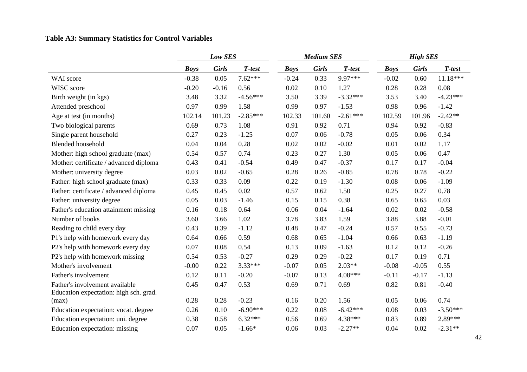### **Table A3: Summary Statistics for Control Variables**

|                                                                          | Low SES     |              | <b>Medium SES</b> |             |              | <b>High SES</b> |             |              |            |
|--------------------------------------------------------------------------|-------------|--------------|-------------------|-------------|--------------|-----------------|-------------|--------------|------------|
|                                                                          | <b>Boys</b> | <b>Girls</b> | T-test            | <b>Boys</b> | <b>Girls</b> | T-test          | <b>Boys</b> | <b>Girls</b> | T-test     |
| WAI score                                                                | $-0.38$     | 0.05         | $7.62***$         | $-0.24$     | 0.33         | 9.97***         | $-0.02$     | 0.60         | $11.18***$ |
| WISC score                                                               | $-0.20$     | $-0.16$      | 0.56              | $0.02\,$    | 0.10         | 1.27            | 0.28        | 0.28         | 0.08       |
| Birth weight (in kgs)                                                    | 3.48        | 3.32         | $-4.56***$        | 3.50        | 3.39         | $-3.32***$      | 3.53        | 3.40         | $-4.23***$ |
| Attended preschool                                                       | 0.97        | 0.99         | 1.58              | 0.99        | 0.97         | $-1.53$         | 0.98        | 0.96         | $-1.42$    |
| Age at test (in months)                                                  | 102.14      | 101.23       | $-2.85***$        | 102.33      | 101.60       | $-2.61***$      | 102.59      | 101.96       | $-2.42**$  |
| Two biological parents                                                   | 0.69        | 0.73         | 1.08              | 0.91        | 0.92         | 0.71            | 0.94        | 0.92         | $-0.83$    |
| Single parent household                                                  | 0.27        | 0.23         | $-1.25$           | 0.07        | 0.06         | $-0.78$         | 0.05        | 0.06         | 0.34       |
| <b>Blended</b> household                                                 | 0.04        | 0.04         | 0.28              | $0.02\,$    | 0.02         | $-0.02$         | 0.01        | 0.02         | 1.17       |
| Mother: high school graduate (max)                                       | 0.54        | 0.57         | 0.74              | 0.23        | 0.27         | 1.30            | 0.05        | 0.06         | 0.47       |
| Mother: certificate / advanced diploma                                   | 0.43        | 0.41         | $-0.54$           | 0.49        | 0.47         | $-0.37$         | 0.17        | 0.17         | $-0.04$    |
| Mother: university degree                                                | 0.03        | 0.02         | $-0.65$           | 0.28        | 0.26         | $-0.85$         | 0.78        | 0.78         | $-0.22$    |
| Father: high school graduate (max)                                       | 0.33        | 0.33         | 0.09              | 0.22        | 0.19         | $-1.30$         | 0.08        | 0.06         | $-1.09$    |
| Father: certificate / advanced diploma                                   | 0.45        | 0.45         | 0.02              | 0.57        | 0.62         | 1.50            | 0.25        | 0.27         | 0.78       |
| Father: university degree                                                | 0.05        | 0.03         | $-1.46$           | 0.15        | 0.15         | 0.38            | 0.65        | 0.65         | 0.03       |
| Father's education attainment missing                                    | 0.16        | 0.18         | 0.64              | 0.06        | 0.04         | $-1.64$         | 0.02        | 0.02         | $-0.58$    |
| Number of books                                                          | 3.60        | 3.66         | 1.02              | 3.78        | 3.83         | 1.59            | 3.88        | 3.88         | $-0.01$    |
| Reading to child every day                                               | 0.43        | 0.39         | $-1.12$           | 0.48        | 0.47         | $-0.24$         | 0.57        | 0.55         | $-0.73$    |
| P1's help with homework every day                                        | 0.64        | 0.66         | 0.59              | 0.68        | 0.65         | $-1.04$         | 0.66        | 0.63         | $-1.19$    |
| P2's help with homework every day                                        | 0.07        | 0.08         | 0.54              | 0.13        | 0.09         | $-1.63$         | 0.12        | 0.12         | $-0.26$    |
| P2's help with homework missing                                          | 0.54        | 0.53         | $-0.27$           | 0.29        | 0.29         | $-0.22$         | 0.17        | 0.19         | 0.71       |
| Mother's involvement                                                     | $-0.00$     | 0.22         | $3.33***$         | $-0.07$     | 0.05         | $2.03**$        | $-0.08$     | $-0.05$      | 0.55       |
| Father's involvement                                                     | 0.12        | 0.11         | $-0.20$           | $-0.07$     | 0.13         | 4.08***         | $-0.11$     | $-0.17$      | $-1.13$    |
| Father's involvement available<br>Education expectation: high sch. grad. | 0.45        | 0.47         | 0.53              | 0.69        | 0.71         | 0.69            | 0.82        | 0.81         | $-0.40$    |
| (max)                                                                    | 0.28        | 0.28         | $-0.23$           | 0.16        | 0.20         | 1.56            | 0.05        | 0.06         | 0.74       |
| Education expectation: vocat. degree                                     | 0.26        | 0.10         | $-6.90***$        | 0.22        | 0.08         | $-6.42***$      | 0.08        | 0.03         | $-3.50***$ |
| Education expectation: uni. degree                                       | 0.38        | 0.58         | $6.32***$         | 0.56        | 0.69         | 4.38***         | 0.83        | 0.89         | 2.89***    |
| Education expectation: missing                                           | 0.07        | 0.05         | $-1.66*$          | 0.06        | 0.03         | $-2.27**$       | 0.04        | 0.02         | $-2.31**$  |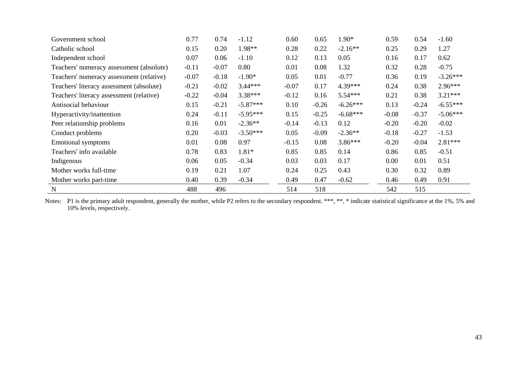| Government school                        | 0.77    | 0.74    | $-1.12$    | 0.60    | 0.65    | $1.90*$    | 0.59    | 0.54    | $-1.60$    |
|------------------------------------------|---------|---------|------------|---------|---------|------------|---------|---------|------------|
| Catholic school                          | 0.15    | 0.20    | 1.98**     | 0.28    | 0.22    | $-2.16**$  | 0.25    | 0.29    | 1.27       |
| Independent school                       | 0.07    | 0.06    | $-1.10$    | 0.12    | 0.13    | 0.05       | 0.16    | 0.17    | 0.62       |
| Teachers' numeracy assessment (absolute) | $-0.11$ | $-0.07$ | 0.80       | 0.01    | 0.08    | 1.32       | 0.32    | 0.28    | $-0.75$    |
| Teachers' numeracy assessment (relative) | $-0.07$ | $-0.18$ | $-1.90*$   | 0.05    | 0.01    | $-0.77$    | 0.36    | 0.19    | $-3.26***$ |
| Teachers' literacy assessment (absolute) | $-0.21$ | $-0.02$ | $3.44***$  | $-0.07$ | 0.17    | $4.39***$  | 0.24    | 0.38    | $2.96***$  |
| Teachers' literacy assessment (relative) | $-0.22$ | $-0.04$ | $3.38***$  | $-0.12$ | 0.16    | $5.54***$  | 0.21    | 0.38    | $3.21***$  |
| Antisocial behaviour                     | 0.15    | $-0.21$ | $-5.87***$ | 0.10    | $-0.26$ | $-6.26***$ | 0.13    | $-0.24$ | $-6.55***$ |
| Hyperactivity/inattention                | 0.24    | $-0.11$ | $-5.95***$ | 0.15    | $-0.25$ | $-6.68***$ | $-0.08$ | $-0.37$ | $-5.06***$ |
| Peer relationship problems               | 0.16    | 0.01    | $-2.36**$  | $-0.14$ | $-0.13$ | 0.12       | $-0.20$ | $-0.20$ | $-0.02$    |
| Conduct problems                         | 0.20    | $-0.03$ | $-3.50***$ | 0.05    | $-0.09$ | $-2.36**$  | $-0.18$ | $-0.27$ | $-1.53$    |
| Emotional symptoms                       | 0.01    | 0.08    | 0.97       | $-0.15$ | 0.08    | $3.86***$  | $-0.20$ | $-0.04$ | $2.81***$  |
| Teachers' info available                 | 0.78    | 0.83    | $1.81*$    | 0.85    | 0.85    | 0.14       | 0.86    | 0.85    | $-0.51$    |
| Indigenous                               | 0.06    | 0.05    | $-0.34$    | 0.03    | 0.03    | 0.17       | 0.00    | 0.01    | 0.51       |
| Mother works full-time                   | 0.19    | 0.21    | 1.07       | 0.24    | 0.25    | 0.43       | 0.30    | 0.32    | 0.89       |
| Mother works part-time                   | 0.40    | 0.39    | $-0.34$    | 0.49    | 0.47    | $-0.62$    | 0.46    | 0.49    | 0.91       |
| $\mathbf N$                              | 488     | 496     |            | 514     | 518     |            | 542     | 515     |            |

Notes: P1 is the primary adult respondent, generally the mother, while P2 refers to the secondary respondent. \*\*\*, \*\*, \* indicate statistical significance at the 1%, 5% and 10% levels, respectively.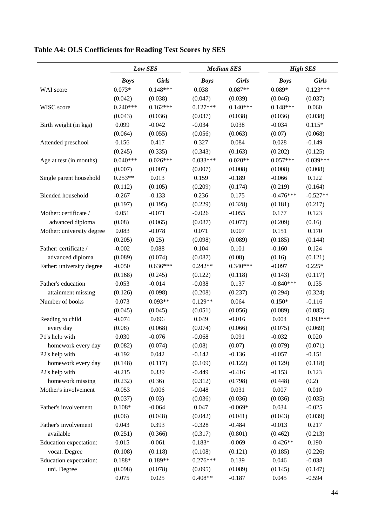|                           | Low SES     |              |             | <b>Medium SES</b> | <b>High SES</b> |              |  |
|---------------------------|-------------|--------------|-------------|-------------------|-----------------|--------------|--|
|                           | <b>Boys</b> | <b>Girls</b> | <b>Boys</b> | <b>Girls</b>      | <b>Boys</b>     | <b>Girls</b> |  |
| WAI score                 | $0.073*$    | $0.148***$   | 0.038       | $0.087**$         | $0.089*$        | $0.123***$   |  |
|                           | (0.042)     | (0.038)      | (0.047)     | (0.039)           | (0.046)         | (0.037)      |  |
| WISC score                | $0.240***$  | $0.162***$   | $0.127***$  | $0.140***$        | $0.148***$      | 0.060        |  |
|                           | (0.043)     | (0.036)      | (0.037)     | (0.038)           | (0.036)         | (0.038)      |  |
| Birth weight (in kgs)     | 0.099       | $-0.042$     | $-0.034$    | 0.038             | $-0.034$        | $0.115*$     |  |
|                           | (0.064)     | (0.055)      | (0.056)     | (0.063)           | (0.07)          | (0.068)      |  |
| Attended preschool        | 0.156       | 0.417        | 0.327       | 0.084             | 0.028           | $-0.149$     |  |
|                           | (0.245)     | (0.335)      | (0.343)     | (0.163)           | (0.202)         | (0.125)      |  |
| Age at test (in months)   | $0.040***$  | $0.026***$   | $0.033***$  | $0.020**$         | $0.057***$      | $0.039***$   |  |
|                           | (0.007)     | (0.007)      | (0.007)     | (0.008)           | (0.008)         | (0.008)      |  |
| Single parent household   | $0.253**$   | 0.013        | 0.159       | $-0.189$          | $-0.066$        | 0.122        |  |
|                           | (0.112)     | (0.105)      | (0.209)     | (0.174)           | (0.219)         | (0.164)      |  |
| <b>Blended</b> household  | $-0.267$    | $-0.133$     | 0.236       | 0.175             | $-0.476***$     | $-0.527**$   |  |
|                           | (0.197)     | (0.195)      | (0.229)     | (0.328)           | (0.181)         | (0.217)      |  |
| Mother: certificate /     | 0.051       | $-0.071$     | $-0.026$    | $-0.055$          | 0.177           | 0.123        |  |
| advanced diploma          | (0.08)      | (0.065)      | (0.087)     | (0.077)           | (0.209)         | (0.16)       |  |
| Mother: university degree | 0.083       | $-0.078$     | 0.071       | 0.007             | 0.151           | 0.170        |  |
|                           | (0.205)     | (0.25)       | (0.098)     | (0.089)           | (0.185)         | (0.144)      |  |
| Father: certificate /     | $-0.002$    | 0.088        | 0.104       | 0.101             | $-0.160$        | 0.124        |  |
| advanced diploma          | (0.089)     | (0.074)      | (0.087)     | (0.08)            | (0.16)          | (0.121)      |  |
| Father: university degree | $-0.050$    | $0.636***$   | $0.242**$   | $0.340***$        | $-0.097$        | $0.225*$     |  |
|                           | (0.168)     | (0.245)      | (0.122)     | (0.118)           | (0.143)         | (0.117)      |  |
| Father's education        | 0.053       | $-0.014$     | $-0.038$    | 0.137             | $-0.840***$     | 0.135        |  |
| attainment missing        | (0.126)     | (0.098)      | (0.208)     | (0.237)           | (0.294)         | (0.324)      |  |
| Number of books           | 0.073       | $0.093**$    | $0.129**$   | 0.064             | $0.150*$        | $-0.116$     |  |
|                           | (0.045)     | (0.045)      | (0.051)     | (0.056)           | (0.089)         | (0.085)      |  |
| Reading to child          | $-0.074$    | 0.096        | 0.049       | $-0.016$          | 0.004           | $0.193***$   |  |
| every day                 | (0.08)      | (0.068)      | (0.074)     | (0.066)           | (0.075)         | (0.069)      |  |
| P1's help with            | 0.030       | $-0.076$     | $-0.068$    | 0.091             | $-0.032$        | 0.020        |  |
| homework every day        | (0.082)     | (0.074)      | (0.08)      | (0.07)            | (0.079)         | (0.071)      |  |
| P2's help with            | $-0.192$    | 0.042        | $-0.142$    | $-0.136$          | $-0.057$        | $-0.151$     |  |
| homework every day        | (0.148)     | (0.117)      | (0.109)     | (0.122)           | (0.129)         | (0.118)      |  |
| P2's help with            | $-0.215$    | 0.339        | $-0.449$    | $-0.416$          | $-0.153$        | 0.123        |  |
| homework missing          | (0.232)     | (0.36)       | (0.312)     | (0.798)           | (0.448)         | (0.2)        |  |
| Mother's involvement      | $-0.053$    | 0.006        | $-0.048$    | 0.031             | 0.007           | 0.010        |  |
|                           | (0.037)     | (0.03)       | (0.036)     | (0.036)           | (0.036)         | (0.035)      |  |
| Father's involvement      | $0.108*$    | $-0.064$     | 0.047       | $-0.069*$         | 0.034           | $-0.025$     |  |
|                           | (0.06)      | (0.048)      | (0.042)     | (0.041)           | (0.043)         | (0.039)      |  |
| Father's involvement      | 0.043       | 0.393        | $-0.328$    | $-0.484$          | $-0.013$        | 0.217        |  |
| available                 | (0.251)     | (0.366)      | (0.317)     | (0.801)           | (0.462)         | (0.213)      |  |
| Education expectation:    | 0.015       | $-0.061$     | $0.183*$    | $-0.069$          | $-0.426**$      | 0.190        |  |
| vocat. Degree             | (0.108)     | (0.118)      | (0.108)     | (0.121)           | (0.185)         | (0.226)      |  |
| Education expectation:    | $0.188*$    | $0.189**$    | $0.276***$  | 0.139             | 0.046           | $-0.038$     |  |
| uni. Degree               | (0.098)     | (0.078)      | (0.095)     | (0.089)           | (0.145)         | (0.147)      |  |
|                           | 0.075       | 0.025        | $0.408**$   | $-0.187$          | 0.045           | $-0.594$     |  |

# **Table A4: OLS Coefficients for Reading Test Scores by SES**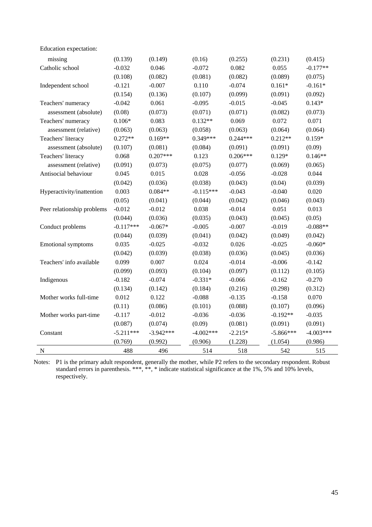| Education expectation:     |             |             |             |            |             |             |
|----------------------------|-------------|-------------|-------------|------------|-------------|-------------|
| missing                    | (0.139)     | (0.149)     | (0.16)      | (0.255)    | (0.231)     | (0.415)     |
| Catholic school            | $-0.032$    | 0.046       | $-0.072$    | 0.082      | 0.055       | $-0.177**$  |
|                            | (0.108)     | (0.082)     | (0.081)     | (0.082)    | (0.089)     | (0.075)     |
| Independent school         | $-0.121$    | $-0.007$    | 0.110       | $-0.074$   | $0.161*$    | $-0.161*$   |
|                            | (0.154)     | (0.136)     | (0.107)     | (0.099)    | (0.091)     | (0.092)     |
| Teachers' numeracy         | $-0.042$    | 0.061       | $-0.095$    | $-0.015$   | $-0.045$    | $0.143*$    |
| assessment (absolute)      | (0.08)      | (0.073)     | (0.071)     | (0.071)    | (0.082)     | (0.073)     |
| Teachers' numeracy         | $0.106*$    | 0.083       | $0.132**$   | 0.069      | 0.072       | 0.071       |
| assessment (relative)      | (0.063)     | (0.063)     | (0.058)     | (0.063)    | (0.064)     | (0.064)     |
| Teachers' literacy         | $0.272**$   | $0.169**$   | $0.349***$  | $0.244***$ | $0.212**$   | $0.159*$    |
| assessment (absolute)      | (0.107)     | (0.081)     | (0.084)     | (0.091)    | (0.091)     | (0.09)      |
| Teachers' literacy         | 0.068       | $0.207***$  | 0.123       | $0.206***$ | $0.129*$    | $0.146**$   |
| assessment (relative)      | (0.091)     | (0.073)     | (0.075)     | (0.077)    | (0.069)     | (0.065)     |
| Antisocial behaviour       | 0.045       | 0.015       | 0.028       | $-0.056$   | $-0.028$    | 0.044       |
|                            | (0.042)     | (0.036)     | (0.038)     | (0.043)    | (0.04)      | (0.039)     |
| Hyperactivity/inattention  | 0.003       | $0.084**$   | $-0.115***$ | $-0.043$   | $-0.040$    | 0.020       |
|                            | (0.05)      | (0.041)     | (0.044)     | (0.042)    | (0.046)     | (0.043)     |
| Peer relationship problems | $-0.012$    | $-0.012$    | 0.038       | $-0.014$   | 0.051       | 0.013       |
|                            | (0.044)     | (0.036)     | (0.035)     | (0.043)    | (0.045)     | (0.05)      |
| Conduct problems           | $-0.117***$ | $-0.067*$   | $-0.005$    | $-0.007$   | $-0.019$    | $-0.088**$  |
|                            | (0.044)     | (0.039)     | (0.041)     | (0.042)    | (0.049)     | (0.042)     |
| <b>Emotional symptoms</b>  | 0.035       | $-0.025$    | $-0.032$    | 0.026      | $-0.025$    | $-0.060*$   |
|                            | (0.042)     | (0.039)     | (0.038)     | (0.036)    | (0.045)     | (0.036)     |
| Teachers' info available   | 0.099       | 0.007       | 0.024       | $-0.014$   | $-0.006$    | $-0.142$    |
|                            | (0.099)     | (0.093)     | (0.104)     | (0.097)    | (0.112)     | (0.105)     |
| Indigenous                 | $-0.182$    | $-0.074$    | $-0.331*$   | $-0.066$   | $-0.162$    | $-0.270$    |
|                            | (0.134)     | (0.142)     | (0.184)     | (0.216)    | (0.298)     | (0.312)     |
| Mother works full-time     | 0.012       | 0.122       | $-0.088$    | $-0.135$   | $-0.158$    | 0.070       |
|                            | (0.11)      | (0.086)     | (0.101)     | (0.088)    | (0.107)     | (0.096)     |
| Mother works part-time     | $-0.117$    | $-0.012$    | $-0.036$    | $-0.036$   | $-0.192**$  | $-0.035$    |
|                            | (0.087)     | (0.074)     | (0.09)      | (0.081)    | (0.091)     | (0.091)     |
| Constant                   | $-5.211***$ | $-3.942***$ | $-4.002***$ | $-2.215*$  | $-5.866***$ | $-4.003***$ |
|                            | (0.769)     | (0.992)     | (0.906)     | (1.228)    | (1.054)     | (0.986)     |

Notes: P1 is the primary adult respondent, generally the mother, while P2 refers to the secondary respondent. Robust standard errors in parenthesis. \*\*\*, \*\*, \* indicate statistical significance at the 1%, 5% and 10% levels, respectively.

N 488 496 514 518 542 515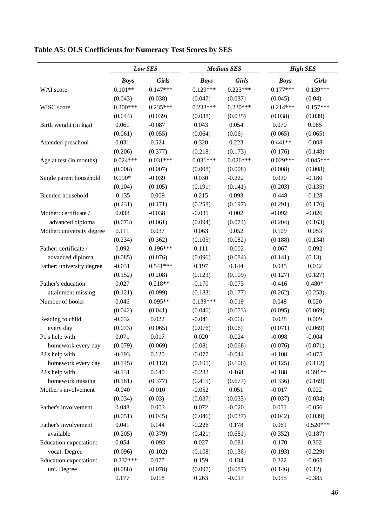|                           | Low SES     |              | <b>Medium SES</b> |              | <b>High SES</b> |              |
|---------------------------|-------------|--------------|-------------------|--------------|-----------------|--------------|
|                           | <b>Boys</b> | <b>Girls</b> | <b>Boys</b>       | <b>Girls</b> | <b>Boys</b>     | <b>Girls</b> |
| WAI score                 | $0.101**$   | $0.147***$   | $0.129***$        | $0.223***$   | $0.177***$      | $0.139***$   |
|                           | (0.043)     | (0.038)      | (0.047)           | (0.037)      | (0.045)         | (0.04)       |
| WISC score                | $0.300***$  | $0.235***$   | $0.233***$        | $0.230***$   | $0.214***$      | $0.157***$   |
|                           | (0.044)     | (0.039)      | (0.038)           | (0.035)      | (0.038)         | (0.039)      |
| Birth weight (in kgs)     | 0.061       | $-0.087$     | 0.043             | 0.054        | 0.070           | 0.085        |
|                           | (0.061)     | (0.055)      | (0.064)           | (0.06)       | (0.065)         | (0.065)      |
| Attended preschool        | 0.031       | 0.524        | 0.320             | 0.223        | $0.441**$       | $-0.008$     |
|                           | (0.206)     | (0.377)      | (0.218)           | (0.173)      | (0.176)         | (0.148)      |
| Age at test (in months)   | $0.024***$  | $0.031***$   | $0.031***$        | $0.026***$   | $0.029***$      | $0.045***$   |
|                           | (0.006)     | (0.007)      | (0.008)           | (0.008)      | (0.008)         | (0.008)      |
| Single parent household   | $0.190*$    | $-0.039$     | 0.030             | $-0.222$     | 0.030           | $-0.180$     |
|                           | (0.104)     | (0.105)      | (0.191)           | (0.141)      | (0.203)         | (0.135)      |
| <b>Blended</b> household  | $-0.135$    | 0.009        | 0.215             | 0.093        | $-0.448$        | $-0.128$     |
|                           | (0.231)     | (0.171)      | (0.258)           | (0.197)      | (0.291)         | (0.176)      |
| Mother: certificate /     | 0.038       | $-0.038$     | $-0.035$          | 0.002        | $-0.092$        | $-0.026$     |
| advanced diploma          | (0.073)     | (0.061)      | (0.094)           | (0.074)      | (0.204)         | (0.163)      |
| Mother: university degree | 0.111       | 0.037        | 0.063             | 0.052        | 0.109           | 0.053        |
|                           | (0.234)     | (0.362)      | (0.105)           | (0.082)      | (0.188)         | (0.134)      |
| Father: certificate /     | 0.092       | $0.196***$   | 0.111             | $-0.002$     | $-0.067$        | $-0.092$     |
| advanced diploma          | (0.085)     | (0.076)      | (0.096)           | (0.084)      | (0.141)         | (0.13)       |
| Father: university degree | $-0.031$    | $0.541***$   | 0.197             | 0.144        | 0.045           | 0.042        |
|                           | (0.152)     | (0.208)      | (0.123)           | (0.109)      | (0.127)         | (0.127)      |
| Father's education        | 0.027       | $0.218**$    | $-0.170$          | $-0.073$     | $-0.416$        | $0.480*$     |
| attainment missing        | (0.121)     | (0.099)      | (0.183)           | (0.177)      | (0.262)         | (0.253)      |
| Number of books           | 0.046       | $0.095**$    | $0.139***$        | $-0.019$     | 0.048           | 0.020        |
|                           | (0.042)     | (0.041)      | (0.046)           | (0.053)      | (0.095)         | (0.069)      |
| Reading to child          | $-0.032$    | 0.022        | $-0.041$          | $-0.066$     | 0.038           | 0.009        |
| every day                 | (0.073)     | (0.065)      | (0.076)           | (0.06)       | (0.071)         | (0.069)      |
| P1's help with            | 0.071       | 0.017        | 0.020             | $-0.024$     | $-0.098$        | $-0.004$     |
| homework every day        | (0.079)     | (0.069)      | (0.08)            | (0.068)      | (0.076)         | (0.071)      |
| P2's help with            | $-0.193$    | 0.120        | $-0.077$          | $-0.044$     | $-0.108$        | $-0.075$     |
| homework every day        | (0.145)     | (0.112)      | (0.105)           | (0.106)      | (0.125)         | (0.112)      |
| P2's help with            | $-0.131$    | 0.140        | $-0.282$          | 0.168        | $-0.188$        | $0.391**$    |
| homework missing          | (0.181)     | (0.377)      | (0.415)           | (0.677)      | (0.336)         | (0.169)      |
| Mother's involvement      | $-0.040$    | $-0.010$     | $-0.052$          | 0.051        | $-0.017$        | 0.022        |
|                           | (0.034)     | (0.03)       | (0.037)           | (0.033)      | (0.037)         | (0.034)      |
| Father's involvement      | 0.048       | 0.003        | 0.072             | $-0.020$     | 0.051           | $-0.056$     |
|                           | (0.051)     | (0.045)      | (0.046)           | (0.037)      | (0.042)         | (0.039)      |
| Father's involvement      | 0.041       | 0.144        | $-0.226$          | 0.178        | 0.061           | $0.520***$   |
| available                 | (0.205)     | (0.379)      | (0.421)           | (0.681)      | (0.352)         | (0.187)      |
| Education expectation:    | 0.054       | $-0.093$     | 0.027             | $-0.081$     | $-0.170$        | 0.302        |
| vocat. Degree             | (0.096)     | (0.102)      | (0.108)           | (0.136)      | (0.193)         | (0.229)      |
| Education expectation:    | $0.332***$  | 0.077        | 0.159             | 0.134        | 0.222           | $-0.065$     |
| uni. Degree               | (0.088)     | (0.078)      | (0.097)           | (0.087)      | (0.146)         | (0.12)       |
|                           | 0.177       | 0.018        | 0.263             | $-0.017$     | 0.055           | $-0.385$     |

# **Table A5: OLS Coefficients for Numeracy Test Scores by SES**